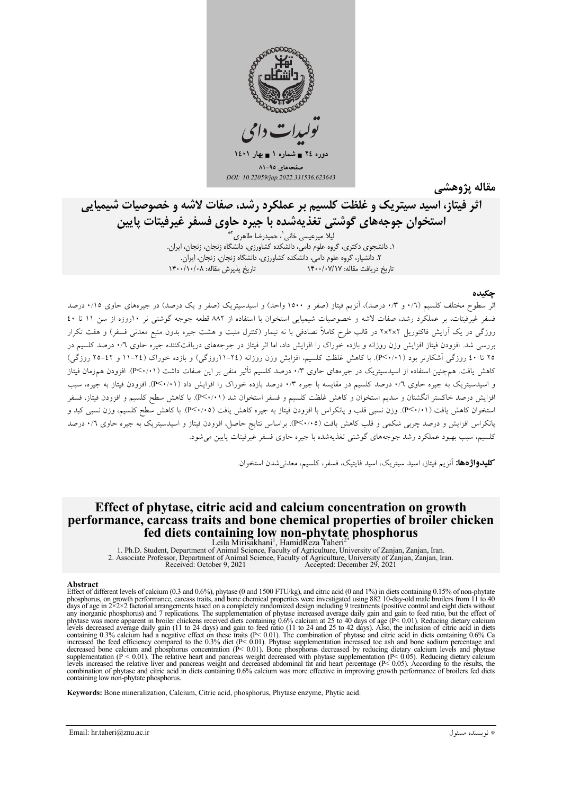

مقاله يژوهشي

# اثر فیتاز، اسید سیتریک و غلظت کلسیم بر عملکرد رشد، صفات لاشه و خصوصیات شیمیایی استخوان جوجههای گوشتی تغذیهشده با جیره حاوی فسفر غیرفیتات پایین

لیلا میرعیسی خانی`، حمیدرضا طاهری<sup>۲</sup> ١. دانشجوی دکتری، گروه علوم دامی، دانشکده کشاورزی، دانشگاه زنجان، زنجان، ایران. ٢. دانشیار، گروه علوم دامی، دانشکده کشاورزی، دانشگاه زنجان، زنجان، ایران. تاريخ دريافت مقاله: ١٣٠٠/٠٧/١٧ تاريخ بذيرش مقاله: ١۴٠٠/١٠/٠٨

اثر سطوح مختلف کلسیم (۰/٦ و ۰/۳ درصد)، آنزیم فیتاز (صفر و ۱۵۰۰ واحد) و اسیدسیتریک (صفر و یک درصد) در جیرههای حاوی ۰/۱۵ درصد فسفر غیرفیتات، بر عملکرد رشد، صفات لاشه و خصوصیات شیمیایی استخوان با استفاده از ۸۸۲ قطعه جوجه گوشتی نر ۱۰روزه از سن ۱۱ تا ٤٠ روزگی در یک آرایش فاکتوریل ۲×۲×۲ در قالب طرح کاملاً تصادفی با نه تیمار (کنترل مثبت و هشت جیره بدون منبع معدنی فسفر) و هفت تکرار بررسی شد. افزودن فیتاز افزایش وزن روزانه و بازده خوراک را افزایش داد، اما اثر فیتاز در جوجههای دریافتکننده جیره حاوی ۰/٦ درصد کلسیم در ۲۵ تا ٤٠ روزگي آشکارتر بود (٢<٠/١٠). با کاهش غلظت کلسيم، افزايش وزن روزانه (٢٤-١١روزگي) و بازده خوراک (٢٤-١١ و ٤٢-٢٥ روزگي) کاهش یافت. همچنین استفاده از اسیدسیتریک در جیرههای حاوی ۰٫۳ درصد کلسیم تأثیر منفی بر این صفات داشت ( ۱۹/۲×P). افزودن همزمان فیتاز و اسیدسیتریک به جیره حاوی ۰/٦ درصد کلسیم در مقایسه با جیره ۰/۳ درصد بازده خوراک را افزایش داد (P<۰/۱). افزودن فیتاز به جیره، سبب افزایش درصد خاکستر انگشتان و سدیم استخوان و کاهش غلظت کلسیم و فسفر استخوان شد (P<۰/۱۱). با کاهش سطح کلسیم و افزودن فیتاز، فسفر استخوان کاهش یافت (٢٠/٠١١). وزن نسبی قلب و پانکراس با افزودن فیتاز به جیره کاهش یافت (٣<٠/٠٥). با کاهش سطح کلسیم، وزن نسبی کبد و پانکراس افزایش و درصد چربی شکمی و قلب کاهش یافت (۴<۰/۰۵). براساس نتایج حاصل، افزودن فیتاز و اسیدسیتریک به جیره حاوی ۰/۲ درصد کلسیم، سبب بهبود عملکرد رشد جوجههای گوشتی تغذیهشده با جیره حاوی فسفر غیرفیتات پایین می شود.

كليدواژهها: آن<sub>ز</sub>يم فيتاز، اسيد سيتريك، اسيد فايتيك، فسفر، كلسيم، معدن<sub>م ش</sub>دن استخوان.

## Effect of phytase, citric acid and calcium concentration on growth performance, carcass traits and bone chemical properties of broiler chicken fed diets containing low non-phytate phosphorus

1. Ph.D. Student, Department of Animal Science, Faculty of Agriculture, University of Zanjan, Iran.<br>2. Associate Professor, Department of Animal Science, Faculty of Agriculture, University of Zanjan, Zanjan, Iran.<br>2. Assoc

#### Abstract

Effect of different levels of calcium (0.3 and 0.6%), phytase (0 and 1500 FTU/kg), and citric acid (0 and 1%) in diets containing 0.15% of non-phytate phosphorus, on growth performance, carcass traits, and bone chemical properties were investigated using 882 10-day-old male broilers from 11 to 40 days of age in  $2 \times 2 \times 2$  factorial arrangements based on a completely ra any integration phosphorus) and 7 replications. The supplementation of phytase increased average daily gain to feed ratio, but the effect of phytase was more apparent in broiler chickens received diets containing 0.6% cal levels decreased average daily gain (11 to 24 days) and gain to feed ratio (11 to 24 and 25 to 42 days). Also, the inclusion of citric acid in diets containing 0.3% calcium had a negative effect on these traits (P< 0.01). containing low non-phytate phosphorus.

Keywords: Bone mineralization, Calcium, Citric acid, phosphorus, Phytase enzyme, Phytic acid.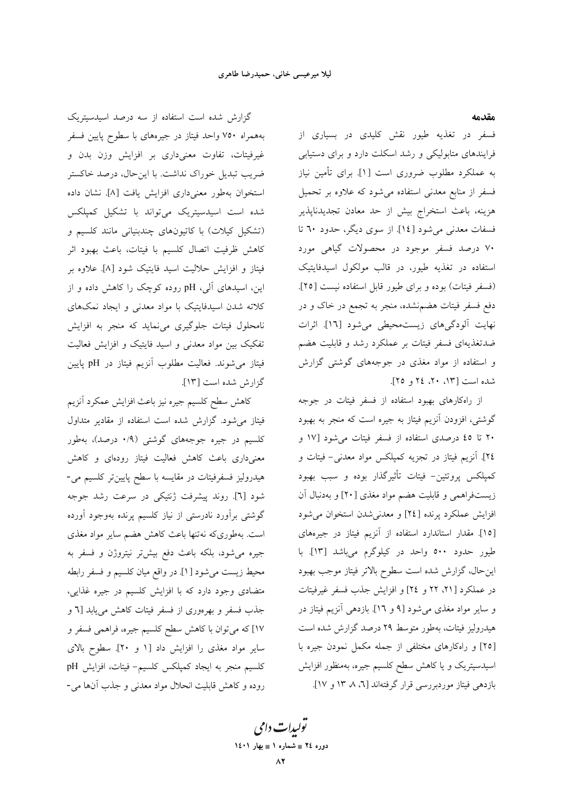مقدمه

فسفر در تغذیه طیور نقش کلیدی در بسیاری از فرایندهای متابولیکی و رشد اسکلت دارد و برای دستیابی به عملکرد مطلوب ضروری است [۱]. برای تأمین نیاز فسفر از منابع معدنی استفاده میشود که علاوه بر تحمیل هزينه، باعث استخراج بيش از حد معادن تجديدناپذير فسفات معدنی میشود [۱٤]. از سوی دیگر، حدود ٦٠ تا ۷۰ درصد فسفر موجود در محصولات گیاهی مورد استفاده در تغذیه طیور، در قالب مولکول اسیدفایتیک (فسفر فيتات) بوده و براي طيور قابل استفاده نيست [٢٥]. دفع فسفر فیتات هضم.نشده، منجر به تجمع در خاک و در نهایت آلودگیهای زیستمحیطی میشود [١٦]. اثرات ضدتغذیهای فسفر فیتات بر عملکرد رشد و قابلیت هضم و استفاده از مواد مغذی در جوجههای گوشتی گزارش شده است [۱۳، ۲۰، ۲٤ و ۲۵].

از راهکارهای بهبود استفاده از فسفر فیتات در جوجه گوشتی، افزودن آنزیم فیتاز به جیره است که منجر به بهبود ۲۰ تا ٤٥ درصدى استفاده از فسفر فيتات مى شود [١٧ و ٢٤]. آنزیم فیتاز در تجزیه کمپلکس مواد معدنی- فیتات و کمپلکس پروتئین- فیتات تأثیرگذار بوده و سبب بهبود زیستفراهمی و قابلیت هضم مواد مغذی [۲۰] و بهدنبال آن افزایش عملکرد پرنده [٢٤] و معدنیشدن استخوان میشود [١٥]. مقدار استاندارد استفاده از آنزیم فیتاز در جیرههای طیور حدود ٥٠٠ واحد در کیلوگرم میباشد [١٣]. با این حال، گزارش شده است سطوح بالاتر فیتاز موجب بهبود در عملکرد [۲۱، ۲۲ و ۲٤] و افزایش جذب فسفر غیرفیتات و سایر مواد مغذی می شود [۹ و ۱٦]. بازدهی آنزیم فیتاز در هیدرولیز فیتات، بهطور متوسط ۲۹ درصد گزارش شده است [٢٥] و راهكارهاى مختلفى از جمله مكمل نمودن جيره با اسیدسیتریک و یا کاهش سطح کلسیم جیره، بهمنظور افزایش بازدهی فیتاز موردبررسی قرار گرفتهاند [٦، ٨ ١٣ و ١٧].

گزارش شده است استفاده از سه درصد اسیدسیتریک بههمراه ۷۵۰ واحد فیتاز در جیرههای با سطوح پایین فسفر غیرفیتات، تفاوت معنیداری بر افزایش وزن بدن و ضریب تبدیل خوراک نداشت. با اینحال، درصد خاکستر استخوان بهطور معنى دارى افزايش يافت [٨]. نشان داده شده است اسیدسیتریک می تواند با تشکیل کمیلکس (تشکیل کیلات) با کاتیونهای چندبنیانی مانند کلسیم و كاهش ظرفيت اتصال كلسيم با فيتات، باعث بهبود اثر فیتاز و افزایش حلالیت اسید فایتیک شود [۸]. علاوه بر این، اسیدهای آلی، pH روده کوچک را کاهش داده و از کلاته شدن اسیدفایتیک با مواد معدنی و ایجاد نمکهای نامحلول فیتات جلوگیری می نماید که منجر به افزایش تفکیک بین مواد معدنی و اسید فایتیک و افزایش فعالیت فيتاز مى شوند. فعاليت مطلوب آنزيم فيتاز در pH پايين گزارش شده است [۱۳].

كاهش سطح كلسيم جيره نيز باعث افزايش عمكرد آنزيم فیتاز می شود. گزارش شده است استفاده از مقادیر متداول کلسیم در جیره جوجههای گوشتی (۰/۹ درصد)، بهطور معنی داری باعث کاهش فعالیت فیتاز رودمای و کاهش هیدرولیز فسفرفیتات در مقایسه با سطح پایینتر کلسیم می-شود [٦]. روند پیشرفت ژنتیکی در سرعت رشد جوجه گوشتی برآورد نادرستی از نیاز کلسیم پرنده بهوجود آورده است. بهطوریکه نهتنها باعث کاهش هضم سایر مواد مغذی جیره میشود، بلکه باعث دفع بیشتر نیتروژن و فسفر به محيط زيست مي شود [۱]. در واقع ميان كلسيم و فسفر رابطه متضادی وجود دارد که با افزایش کلسیم در جیره غذایی، جذب فسفر و بهرهوری از فسفر فیتات کاهش می یابد [٦ و ۱۷] که میتوان با کاهش سطح کلسیم جیره، فراهمی فسفر و سایر مواد مغذی را افزایش داد [۱ و ۲۰]. سطوح بالای كلسيم منجر به ايجاد كمپلكس كلسيم- فيتات، افزايش pH روده و كاهش قابليت انحلال مواد معدني و جذب آنها مي-

> تولیدات دامی دوره ٢٤ = شماره ١ = بهار ١٤٠١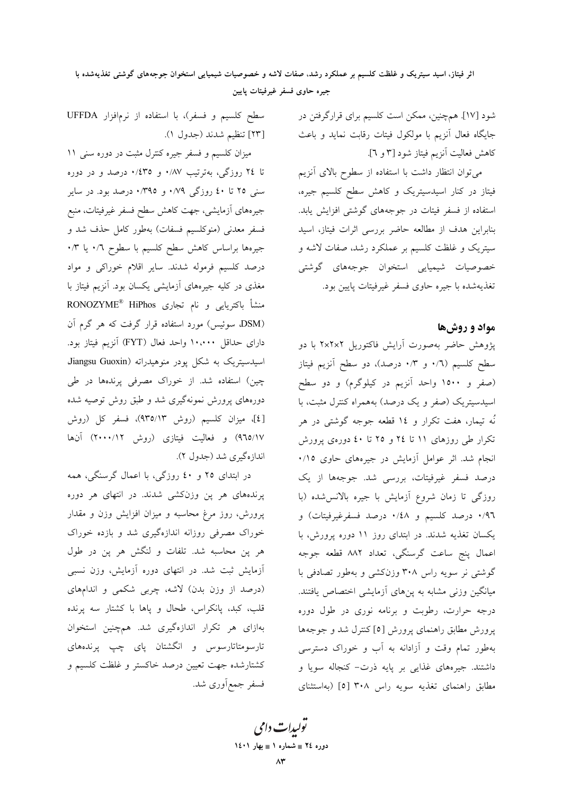اثر فیتاز، اسید سیتریک و غلظت کلسیم بر عملکرد رشد، صفات لاشه و خصوصیات شیمیایی استخوان جوجههای گوشتی تغذیهشده با جيره حاوى فسفر غيرفيتات پايين

> شود [۱۷]. همچنین، ممکن است کلسیم برای قرارگرفتن در جایگاه فعال آنزیم با مولکول فیتات رقابت نماید و باعث كاهش فعاليت آنزيم فيتاز شود [٣ و ٦].

> می توان انتظار داشت با استفاده از سطوح بالای آنزیم فیتاز در کنار اسیدسیتریک و کاهش سطح کلسیم جیره، استفاده از فسفر فیتات در جوجههای گوشتی افزایش یابد. بنابراین هدف از مطالعه حاضر بررسی اثرات فیتاز، اسید سیتریک و غلظت کلسیم بر عملکرد رشد، صفات لاشه و خصوصیات شیمیایی استخوان جوجههای گوشتی تغذيهشده با جيره حاوي فسفر غيرفيتات يايين بود.

## مواد و روش ها

پژوهش حاضر بهصورت آرایش فاکتوریل ۲×۲×۲ با دو سطح کلسیم (٠/٦ و ٠/٣ درصد)، دو سطح آنزیم فیتاز (صفر و ۱۵۰۰ واحد آنزیم در کیلوگرم) و دو سطح اسیدسیتریک (صفر و یک درصد) بههمراه کنترل مثبت، با نُه تیمار، هفت تکرار و ١٤ قطعه جوجه گوشتی در هر تکرار طی روزهای ۱۱ تا ۲٤ و ۲۵ تا ٤٠ دورهی پرورش انجام شد. اثر عوامل آزمایش در جیرههای حاوی ۰/۱٥ درصد فسفر غیرفیتات، بررسی شد. جوجهها از یک روزگی تا زمان شروع آزمایش با جیره بالانس شده (با ۰/۹٦ درصد کلسیم و ۰/٤٨ درصد فسفرغیرفیتات) و یکسان تغذیه شدند. در ابتدای روز ۱۱ دوره پرورش، با اعمال پنج ساعت گرسنگی، تعداد ۸۸۲ قطعه جوجه گوشتی نر سویه راس ۳۰۸ وزنکشی و بهطور تصادفی با میانگین وزنی مشابه به پنهای آزمایشی اختصاص یافتند. درجه حرارت، رطوبت و برنامه نوری در طول دوره پرورش مطابق راهنمای پرورش [٥] کنترل شد و جوجهها بهطور تمام وقت و آزادانه به آب و خوراک دسترسی داشتند. جیرههای غذایی بر پایه ذرت- کنجاله سویا و مطابق راهنمای تغذیه سویه راس ۳۰۸ [٥] (بهاستثنای

سطح کلسیم و فسفر)، با استفاده از نرمافزار UFFDA [٢٣] تنظيم شدند (جدول ١).

میزان کلسیم و فسفر جیره کنترل مثبت در دوره سنی ۱۱ تا ٢٤ روزگي، بهترتيب ٠/٨٧ و ٠/٤٣٥ درصد و در دوره سنې ۲۵ تا ٤٠ روزگې ۰/۷۹ و ۰/۳۹۵ درصد بود. در ساير جیرههای آزمایشی، جهت کاهش سطح فسفر غیرفیتات، منبع فسفر معدنی (منوکلسیم فسفات) بهطور کامل حذف شد و جیرهها براساس کاهش سطح کلسیم با سطوح ۰/٦ یا ۰/۳ درصد کلسیم فرموله شدند. سایر اقلام خوراکی و مواد مغذی در کلیه جیرههای آزمایشی یکسان بود. آنزیم فیتاز با منشأ باكتريايي و نام تجاري RONOZYME® HiPhos (DSM، سوئیس) مورد استفاده قرار گرفت که هر گرم آن دارای حداقل ۱۰،۰۰۰ واحد فعال (FYT) آنزیم فیتاز بود. اسیدسیتریک به شکل پودر منوهیدراته (Jiangsu Guoxin چین) استفاده شد. از خوراک مصرفی پرندهها در طی دورههای پرورش نمونهگیری شد و طبق روش توصیه شده [٤]، میزان کلسیم (روش ٩٣٥/١٣)، فسفر کل (روش ۹٦٥/۱۷) و فعالیت فیتازی (روش ۲۰۰۰/۱۲) آنها اندازهگیری شد (جدول ۲).

در ابتدای ۲۵ و ٤٠ روزگي، با اعمال گرسنگي، همه پرندههای هر پن وزنکشی شدند. در انتهای هر دوره پرورش، روز مرغ محاسبه و میزان افزایش وزن و مقدار خوراک مصرفی روزانه اندازهگیری شد و بازده خوراک هر پن محاسبه شد. تلفات و لنگش هر پن در طول آزمایش ثبت شد. در انتهای دوره آزمایش، وزن نسبی (درصد از وزن بدن) لاشه، چربی شکمی و اندامهای قلب، کبد، پانکراس، طحال و پاها با کشتار سه پرنده بهازای هر تکرار اندازهگیری شد. همچنین استخوان تارسومتاتارسوس و انگشتان پای چپ پرندههای كشتارشده جهت تعيين درصد خاكستر و غلظت كلسيم و فسفر جمع|َوري شد.

تولیدات دامی دوره ٢٤ = شماره ١ = بهار ١٤٠١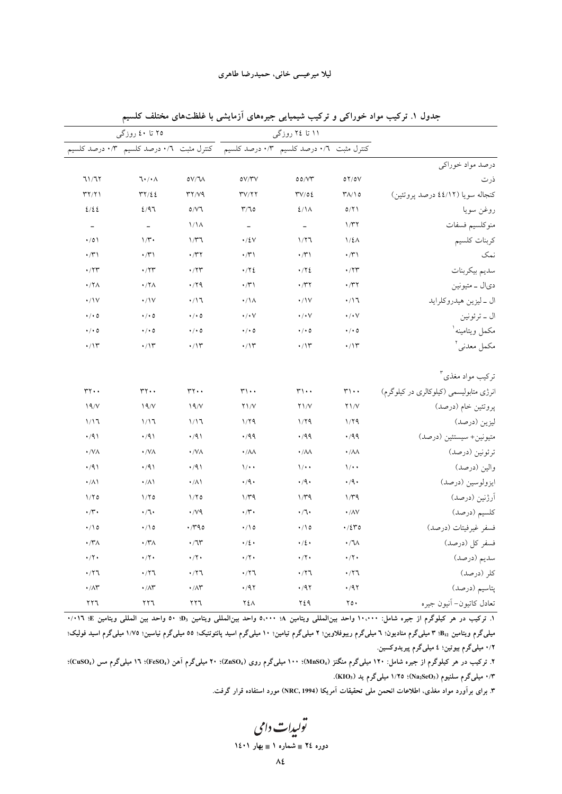|                                | ۲۵ تا ٤٠ روزگي                                |                          | ۱۱ تا ۲٤ روزگی                 |                                          |                              |                                         |
|--------------------------------|-----------------------------------------------|--------------------------|--------------------------------|------------------------------------------|------------------------------|-----------------------------------------|
|                                | .<br>کنترل مثبت ۰/۳ درصد کلسیم ۰/۳ درصد کلسیم |                          |                                | کنترل مثبت ۰/۳ درصد کلسیم ۰/۳ درصد کلسیم |                              |                                         |
|                                |                                               |                          |                                |                                          |                              | درصد مواد خوراكي                        |
| 71/77                          | $7 \cdot / \cdot \wedge$                      | 0V/T                     | oV/YV                          | 00/VT                                    | OY/OV                        | ذرت                                     |
| $\Upsilon \Upsilon / \Upsilon$ | rr/22                                         | YY/YQ                    | $\Upsilon V/\Upsilon \Upsilon$ | TV/OE                                    | $Y\Lambda/\Lambda$           | کنجاله سویا (٤٤/١٢ درصد پروتئين)        |
| 2/22                           | 2/97                                          | 0/V                      | T/T0                           | $2/\lambda$                              | 0/Y                          | روغن سويا                               |
| $\overline{\phantom{a}}$       | $\equiv$                                      | $1/\lambda$              | $\overline{\phantom{a}}$       | $\overline{\phantom{a}}$                 | 1/T                          | منوكلسيم فسفات                          |
| $\cdot/0$                      | $1/\mathfrak{r}$ .                            | 1/T                      | $\cdot$ / ٤ $\vee$             | 1/77                                     | $1/\xi \Lambda$              | كربنات كلسيم                            |
| $\cdot$ /۳۱                    | $\cdot$ / $\uparrow$ )                        | $\cdot$ /۳۲              | $\cdot$ /۳۱                    | $\cdot$ / $\uparrow$ \                   | $\cdot$ /۳۱                  | نمک                                     |
| $\cdot$ /۲۳                    | $\cdot$                                       | $\cdot$ /۲۳              | .772                           | $\cdot$ / $\cdot$ {                      | $\cdot$                      | سديم بيكربنات                           |
| $\cdot$ /٢ $\wedge$            | $\cdot$ /٢ $\wedge$                           | .79                      | $\cdot$ /۳)                    | $\cdot$ /۳۲                              | $\cdot$ /۳۲                  | ديال _ متيونين                          |
| $\cdot/\mathrm{V}$             | $\cdot/\mathrm{V}$                            | $\cdot/17$               | $\cdot/\lambda$                | $\cdot/\gamma$                           | $\cdot$ /17                  | ال _ ليزين هيدروكلرايد                  |
| $\cdot$ / $\cdot$ 0            | $\cdot$ / $\cdot$ 0                           | $\cdot$ / $\cdot$ 0      | $\cdot$ / $\cdot$ $\vee$       | $\cdot/\cdot\vee$                        | $\cdot$ / $\cdot$ $\vee$     | ال _ ترئونين                            |
| $\cdot$ / $\cdot$ 0            | $\cdot$ / $\cdot$ 0                           | $\cdot$ / $\cdot$ 0      | $\cdot$ / $\cdot$ 0            | $\cdot$ / $\cdot$ 0                      | $\cdot$ / $\cdot$ 0          | مكمل ويتامينه <sup>ا</sup>              |
| $\cdot/\gamma$                 | $\cdot/\gamma$                                | $\cdot$ /١٣              | $\cdot$ /\۳                    | $\cdot/\gamma$                           | $\cdot/\gamma$               | مكمل معدني أ                            |
|                                |                                               |                          |                                |                                          |                              | ترکیب مواد مغذی <sup>۳</sup>            |
| $rr \cdot$                     | $rr \cdot$                                    | $rr \cdot$               | $\mathsf{r}\cdot\cdot$         | $\mathsf{r}\cdot\cdot$                   | $\mathsf{r}\mathsf{h}\cdots$ | انرژی متابولیسمی (کیلوکالری در کیلوگرم) |
| 19/V                           | 19/V                                          | 19/V                     | $Y \frac{1}{V}$                | $Y \setminus V$                          | $Y \setminus V$              | پروتئين خام (درصد)                      |
| 1/17                           | 1/17                                          | 1/17                     | 1/79                           | 1/79                                     | 1/79                         | ليزين (درصد)                            |
| $\cdot$ /91                    | $\cdot$ /9)                                   | $\cdot$ /91              | .499                           | $\cdot$ /99                              | .499                         | متيونين+ سيستئين (درصد)                 |
| $\cdot$ /VA                    | $\cdot$ /VA                                   | $\cdot$ /VA              | $\cdot/\lambda\lambda$         | $\cdot/\lambda\lambda$                   | $\cdot/\lambda\lambda$       | ترئونين (درصد)                          |
| $\cdot$ /91                    | $\cdot$ /9)                                   | $\cdot$ /9)              | $\sqrt{\cdot \cdot}$           | $1/$ .                                   | $1/$ .                       | والين (درصد)                            |
| $\cdot/\lambda$                | $\cdot/\lambda$                               | $\cdot/\lambda$          | $\cdot$ /9.                    | $\cdot$ /9 $\cdot$                       | $\cdot$ /9 $\cdot$           | ايزولوسين (درصد)                        |
| 1/70                           | 1/70                                          | 1/70                     | $1/\tau q$                     | $1/\tau q$                               | $1/\tau q$                   | آرژنین (درصد)                           |
| $\cdot$ /۳.                    | $\cdot/1\cdot$                                | $\cdot$ /v٩              | $\cdot$ / $\cdot$              | $\cdot/\mathbb{I}\cdot$                  | $\boldsymbol{\cdot}$ /AV     | كلسيم (درصد)                            |
| $\cdot/10$                     | $\cdot/\wedge \circ$                          | $\cdot$ / $40$           | $\cdot/20$                     | $\cdot/\Omega$                           | $\cdot$ /2٣٥                 | فسفر غيرفيتات (درصد)                    |
| $\cdot$ /۳ $\wedge$            | $\cdot$ / $\sim$ $\wedge$                     | $\cdot$ / $\uparrow$     | $\cdot/2$                      | $\cdot/2$                                | $\cdot / \sqrt{}$            | فسفر كل (درصد)                          |
| $\cdot/\tau$ .                 | $\cdot$ /٢٠                                   | $\cdot$ / $\cdot$        | $\cdot$ /٢.                    | $\cdot$ /٢٠                              | $\cdot$ /٢ $\cdot$           | سديم (درصد)                             |
| .777                           | .77                                           | .77                      | .77                            | .77                                      | .77                          | كلر (درصد)                              |
| $\cdot/\Lambda \Upsilon$       | $\cdot$ / $\wedge\breve{r}$                   | $\cdot/\Lambda \Upsilon$ | $\cdot$ /9 $\gamma$            | $\cdot$ /97                              | $\cdot$ /9٢                  | پتاسیم (درصد)                           |
| $\Gamma$                       | ۲۲٦                                           | ۲۲٦                      | ۲٤٨                            | ۲٤۹                                      | $\mathbf{y} \circ \cdot$     | تعادل كاتيون- أنيون جيره                |

جدول ۱. ترکیب مواد خوراکی و ترکیب شیمیایی جیرههای آزمایشی با غلظتهای مختلف کلسیم

٠. ترکیب در هر کیلوگرم از جیره شامل: ١٠،٠٠٠ واحد بین۱لمللی ویتامین A: ٥،٠٠٠ واحد بین۱لمللی ویتامین B، ٥٠ واحد بین المللی ویتامین E: ١٠١٦ میلیگرم ویتامین B12 ۳ میلیگرم منادیون؛ ٦ میلیگرم ریبوفلاوین؛ ۲ میلیگرم تیامین؛ ۱۰ میلیگرام نیاسین؛ ۱/۷۵ میلیگرم اسید فولیک؛ ۰/۲ میلیگرم بیوتین؛ ٤ میلیگرم پیریدوکسین.

۲. ترکیب در هر کیلوگرم از جیره شامل: ۱۲۰ میلیگرم منگنز (MnSO4)؛ ۱۰۰ میلیگرم روی (ZnSO4)؛ ۲۰ میلیگرم آهن (FeSO4)؛ ۱۲ میلیگرم مس (CuSO4)؛ ۰/۳ میلیگرم سلنیوم (Na2SeO3)؛ ۱/۲۵ میلیگرم ید (KIO3).

۳. برای برآورد مواد مغذی، اطلاعات انحمن ملی تحقیقات آمریکا (NRC, 1994) مورد استفاده قرار گرفت.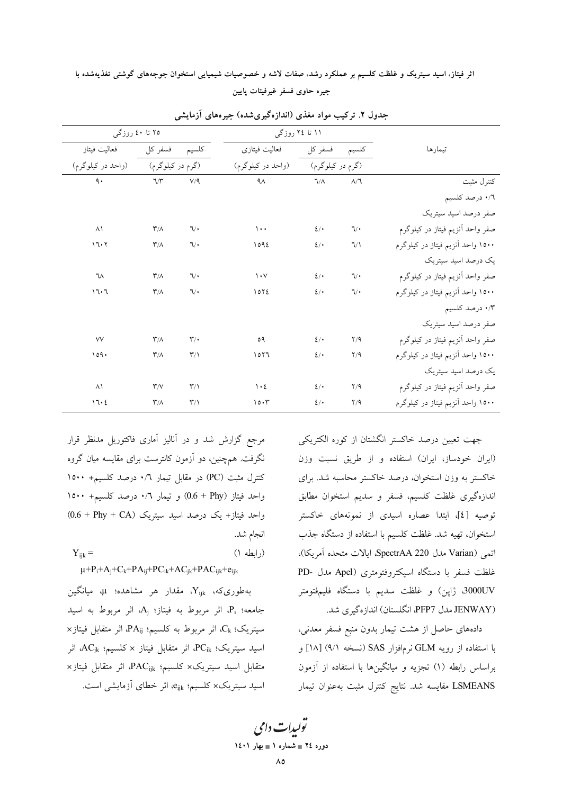اثر فیتاز، اسید سیتریک و غلظت کلسیم بر عملکرد رشد، صفات لاشه و خصوصیات شیمیایی استخوان جوجههای گوشتی تغذیهشده با جيره حاوى فسفر غيرفيتات پايين

| ۲۵ تا ٤٠ روزگي    |                         |                         | ۱۱ تا ۲٤ روزگی                  |                  |                           |                                   |
|-------------------|-------------------------|-------------------------|---------------------------------|------------------|---------------------------|-----------------------------------|
| فعاليت فيتاز      | فسفر كل                 | كلسيم                   | فعاليت فيتازى                   | فسفر كل          | كلسيم                     | تيمارها                           |
| (واحد در کیلوگرم) | (گرم در کیلوگرم)        |                         | (واحد در کیلوگرم)               | (گرم در کیلوگرم) |                           |                                   |
| ٩.                | $7/\tilde{r}$           | V/9                     | $4\lambda$                      | $\sqrt{\Lambda}$ | $\Lambda/\mathbb{k}$      | كنترل مثبت                        |
|                   |                         |                         |                                 |                  |                           | ۰/٦ درصد كلسيم                    |
|                   |                         |                         |                                 |                  |                           | صفر درصد اسيد سيتريك              |
| $\wedge$          | $\mathsf{r}/\Lambda$    | $\mathcal{L}$           | $\cdots$                        | 2/               | $\mathcal{L}/\mathcal{L}$ | صفر واحد أنزيم فيتاز در كيلوگرم   |
| 17.7              | $\mathsf{r}/\mathsf{A}$ | $\mathcal{U}$           | 1092                            | 2/               | $\sqrt{ }$                | ۱۵۰۰ واحد آنزیم فیتاز در کیلوگرم  |
|                   |                         |                         |                                 |                  |                           | یک درصد اسید سیتریک               |
| ٦٨                | $\mathsf{r}/\Lambda$    | $\mathcal{U}$           | $\mathcal{N}$                   | 2/               | $\mathcal{L}/\mathcal{L}$ | صفر واحد أنزيم فيتاز در كيلوگرم   |
| 17.7              | $\mathsf{r}/\mathsf{A}$ | $\mathcal{U}$           | 1072                            | 2/               | $\sqrt{\cdot}$            | ۱۵۰۰ واحد آنزیم فیتاز در کیلوگرم  |
|                   |                         |                         |                                 |                  |                           | ۰/۳ درصد کلسیم                    |
|                   |                         |                         |                                 |                  |                           | صفر درصد اسید سیتریک              |
| <b>VV</b>         | $\mathsf{r}/\Lambda$    | $\mathsf{r}'$           | ٥٩                              | 2/               | Y/9                       | صفر واحد أنزيم فيتاز در كيلوگرم   |
| 109.              | $\mathsf{r}/\mathsf{A}$ | $\mathsf{r}/\mathsf{r}$ | ۲٦ه ۱                           | 2/               | Y/9                       | ۱۵۰۰ واحد آنزیم فیتاز در کیلوگرم  |
|                   |                         |                         |                                 |                  |                           | یک درصد اسید سیتریک               |
| $\wedge$          | $\mathsf{r}/\mathsf{v}$ | $\mathsf{r}/\mathsf{r}$ | $\mathcal{N} \cdot \mathcal{E}$ | 2/               | Y/9                       | صفر واحد أنزيم فيتاز در كيلوگرم   |
| 17.2              | $\mathsf{r}/\mathsf{A}$ | $\mathsf{r}/\mathsf{r}$ | 10.7                            | 2/               | Y/9                       | ۱۵۰۰ واحد اّنزیم فیتاز در کیلوگرم |

جدول ۲. ترکیب مواد مغذی (اندازهگیریشده) جیرههای آزمایشی

جهت تعیین درصد خاکستر انگشتان از کوره الکتریکی (ایران خودساز، ایران) استفاده و از طریق نسبت وزن خاكستر به وزن استخوان، درصد خاكستر محاسبه شد. براى اندازهگیری غلظت کلسیم، فسفر و سدیم استخوان مطابق توصيه [٤]، ابتدا عصاره اسيدي از نمونههاي خاكستر استخوان، تهيه شد. غلظت كلسيم با استفاده از دستگاه جذب اتمي (Varian مدل SpectrAA 220، ايالات متحده آمريكا)، غلظت فسفر با دستگاه اسپکتروفتومتری (Apel مدل -PD 3000UV، ژاپن) و غلظت سدیم با دستگاه فلیمفتومتر (JENWAY مدل PFP7، انگلستان) اندازهگیری شد.

دادههای حاصل از هشت تیمار بدون منبع فسفر معدنی، با استفاده از رويه GLM نرمافزار SAS (نسخه ٩/١) [١٨] و براساس رابطه (۱) تجزیه و میانگینها با استفاده از آزمون LSMEANS مقايسه شد. نتايج كنترل مثبت بهعنوان تيمار

مرجع گزارش شد و در آنالیز آماری فاکتوریل مدنظر قرار نگرفت. همچنین، دو آزمون کانترست برای مقایسه میان گروه کنترل مثبت (PC) در مقابل تیمار ۰/٦ درصد کلسیم+ ۱۵۰۰ واحد فيتاز (O.6 + Phy) و تيمار ٠/٦ درصد كلسيم+ ١٥٠٠  $(0.6 + Phy + CA)$  واحد فیتاز+ یک درصد اسید سیتریک انجام شد.

 $Y_{iik} =$  $( )$  (ایطه ۱)  $\mu + P_i + A_j + C_k + PA_{ij} + PC_{ik} + AC_{jk} + PAC_{ijk} + e_{ijk}$ 

بهطوریکه،  $Y_{ijk}$  مقدار هر مشاهده؛  $\mu$ ، میانگین جامعه؛ Pi، اثر مربوط به فيتاز؛ Aj، اثر مربوط به اسيد × سيتريك؛ ،Ck، اثر مربوط به كلسيم؛ PA<sub>ij</sub>، اثر متقابل فيتاز اسيد سيتريك؛ PC<sub>ik</sub>، اثر متقابل فيتاز × كلسيم؛ AC<sub>jk</sub>، اثر متقابل اسيد سيتريك× كلسيم؛ PAC<sub>ijk</sub>، اثر متقابل فيتاز× اسید سیتریک× کلسیم؛ e<sub>ijk</sub>، اثر خطای آزمایشی است.

تولیدات دامی دوره ٢٤ = شماره ١ = بهار ١٤٠١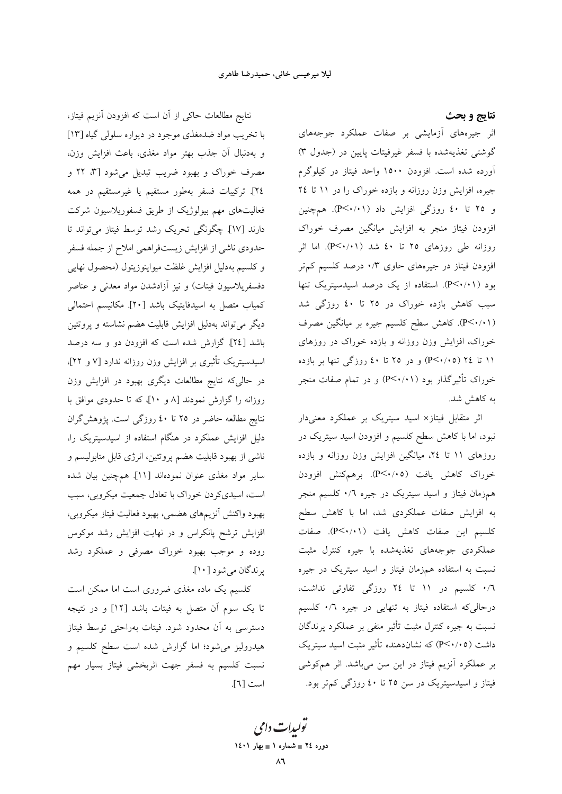نتايج و بحث اثر جیرههای آزمایشی بر صفات عملکرد جوجههای گوشتی تغذیهشده با فسفر غیرفیتات پایین در (جدول ۳) آورده شده است. افزودن ۱۵۰۰ واحد فیتاز در کیلوگرم جیره، افزایش وزن روزانه و بازده خوراک را در ١١ تا ٢٤ و ۲۵ تا ٤٠ روزگي افزايش داد (P<٠/٠١). همچنين افزودن فيتاز منجر به افزايش ميانگين مصرف خوراك روزانه طی روزهای ۲۵ تا ٤٠ شد (P<۰/۰۱). اما اثر افزودن فیتاز در جیرههای حاوی ۰/۳ درصد کلسیم کم تر بود (P<۰/۰۱). استفاده از یک درصد اسیدسیتریک تنها سبب کاهش بازده خوراک در ۲۵ تا ٤٠ روزگي شد (P<۰/۰۱). كاهش سطح كلسيم جيره بر ميانگين مصرف خوراک، افزایش وزن روزانه و بازده خوراک در روزهای ۱۱ تا ۲٤ (۴/۰/۰۵) و در ۲۵ تا ٤٠ روزگي تنها بر بازده خوراک تأثیرگذار بود (P<۰/۰۱) و در تمام صفات منجر به کاهش شد.

اثر متقابل فیتاز× اسید سیتریک بر عملکرد معنیدار نبود، اما با کاهش سطح کلسیم و افزودن اسید سیتریک در روزهای ۱۱ تا ۲٤، میانگین افزایش وزن روزانه و بازده خوراک کاهش یافت (P<۰/۰۵). برهمکنش افزودن همزمان فیتاز و اسید سیتریک در جیره ۰/٦ کلسیم منجر به افزایش صفات عملکردی شد، اما با کاهش سطح كلسيم اين صفات كاهش يافت (P<۰/۰۱). صفات عملکردی جوجههای تغذیهشده با جیره کنترل مثبت نسبت به استفاده همزمان فیتاز و اسید سیتریک در جیره ۰/٦ کلسیم در ۱۱ تا ٢٤ روزگی تفاوتی نداشت، درحالیکه استفاده فیتاز به تنهایی در جیره ۰/٦ کلسیم نسبت به جیره کنترل مثبت تأثیر منفی بر عملکرد پرندگان داشت (P<۰/۰۵) که نشاندهنده تأثیر مثبت اسید سیتریک بر عملکرد آنزیم فیتاز در این سن میباشد. اثر همکوشی فیتاز و اسیدسیتریک در سن ۲۵ تا ٤٠ روزگی کم تر بود.

نتايج مطالعات حاكى از آن است كه افزودن آنزيم فيتاز، با تخریب مواد ضدمغذی موجود در دیواره سلولی گیاه [۱۳] و بهدنبال آن جذب بهتر مواد مغذى، باعث افزايش وزن، مصرف خوراک و بهبود ضریب تبدیل می شود [۳، ۲۲ و ٢٤]. تركيبات فسفر بهطور مستقيم يا غيرمستقيم در همه فعالیتهای مهم بیولوژیک از طریق فسفوریلاسیون شرکت دارند [١٧]. چگونگی تحریک رشد توسط فیتاز می تواند تا حدودی ناشی از افزایش زیستفراهمی املاح از جمله فسفر و كلسيم بهدليل افزايش غلظت ميواينوزيتول (محصول نهايى دفسفريلاسيون فيتات) و نيز أزادشدن مواد معدني و عناصر كمياب متصل به اسيدفايتيک باشد [٢٠]. مكانيسم احتمالي دیگر می تواند بهدلیل افزایش قابلیت هضم نشاسته و پروتئین باشد [٢٤]. گزارش شده است که افزودن دو و سه درصد اسیدسیتریک تأثیری بر افزایش وزن روزانه ندارد [۷ و ۲۲]، در حالیکه نتایج مطالعات دیگری بهبود در افزایش وزن روزانه را گزارش نمودند [۸ و ۱۰]، که تا حدودی موافق با نتایج مطالعه حاضر در ۲۵ تا ٤٠ روزگی است. پژوهش گران دلیل افزایش عملکرد در هنگام استفاده از اسیدسیتریک را، ناشی از بهبود قابلیت هضم پروتئین، انرژی قابل متابولیسم و سایر مواد مغذی عنوان نمودهاند [۱۱]. همچنین بیان شده است، اسیدیکر دن خوراک با تعادل جمعیت میکروبی، سبب بهبود واكنش أنزيمهاى هضمي، بهبود فعاليت فيتاز ميكروبي، افزایش ترشح پانکراس و در نهایت افزایش رشد موکوس روده و موجب بهبود خوراک مصرفی و عملکرد رشد پرندگان مي شود [١٠].

کلسیم یک ماده مغذی ضروری است اما ممکن است تا یک سوم آن متصل به فیتات باشد [۱۲] و در نتیجه دسترسی به آن محدود شود. فیتات بهراحتی توسط فیتاز هیدرولیز می شود؛ اما گزارش شده است سطح کلسیم و نسبت کلسیم به فسفر جهت اثربخشی فیتاز بسیار مهم است [٦].

> تو*لیدات دامی* دوره ٢٤ = شماره ١ = بهار ١٤٠١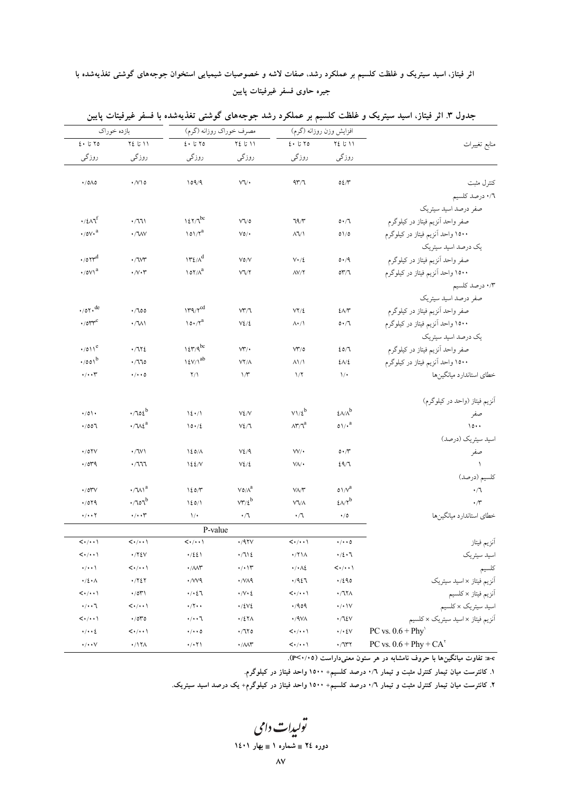# اثر فیتاز، اسید سیتریک و غلظت کلسیم بر عملکرد رشد، صفات لاشه و خصوصیات شیمیایی استخوان جوجههای گوشتی تغذیهشده با جيره حاوى فسفر غيرفيتات پايين

|                                     | بازده خوراك                         |                                                                                              | مصرف خوراك روزانه (گرم)             | افزايش وزن روزانه (گرم)                                           |                                                                        |                                                                                 |
|-------------------------------------|-------------------------------------|----------------------------------------------------------------------------------------------|-------------------------------------|-------------------------------------------------------------------|------------------------------------------------------------------------|---------------------------------------------------------------------------------|
| $2 \cdot 570$                       | $Y\xi$ لَ ١١                        | $2 \cdot 570$                                                                                | ٢٤ لنا ٢٤                           | $2.5$ تا کا                                                       | ٢٤ تا ٢٤                                                               | منابع تغييرات                                                                   |
| روزگی                               | روزگی                               | روزگی                                                                                        | روزگی                               | روزگی                                                             | روزگی                                                                  |                                                                                 |
| $\cdot$ /0 $\wedge$ 0               | $\cdot$ / $\vee$ $\circ$            | 109/9                                                                                        | ٧V٠                                 | 977                                                               | $02/\tilde{}$                                                          | كتترل مثبت                                                                      |
|                                     |                                     |                                                                                              |                                     |                                                                   |                                                                        | ٠/٦ درصد كلسيم                                                                  |
|                                     |                                     |                                                                                              |                                     |                                                                   |                                                                        | صفر درصد اسيد سيتريك                                                            |
| $\cdot$ /٤ $\Lambda$ ٦ <sup>f</sup> | .771                                | $127/7^{bc}$                                                                                 | $V\sqrt{o}$                         | 79/1                                                              | 0.71                                                                   | صفر واحد آنزيم فيتاز در كيلوگرم                                                 |
| $\cdot$ /0 $v \cdot$ <sup>a</sup>   | ·/WV                                | $101/\gamma^a$                                                                               | $V$ ٥/٠                             | $\Lambda$ $\Lambda$                                               | 01/0                                                                   | ۱۵۰۰ واحد الزيم فيتاز در كيلوگرم                                                |
|                                     |                                     |                                                                                              |                                     |                                                                   |                                                                        | یک درصد اسید سیتریک                                                             |
| $\cdot$ /07 $r$ <sup>d</sup>        | $\cdot$ / W                         | $\mathcal{W} \mathcal{E}/\Lambda^d$                                                          | $V$ ٥/V                             | $V \cdot / \xi$                                                   | 0.49                                                                   | صفر واحد آنزيم فيتاز در كيلوگرم                                                 |
| $\cdot$ /0 $V^a$                    | $\cdot/\vee\cdot\curlyvee$          | $\lambda$                                                                                    | <b>VVY</b>                          | $\Lambda V/\Upsilon$                                              | 017/7                                                                  | ۱۵۰۰ واحد الزيم فيتاز در كيلوگرم                                                |
|                                     |                                     |                                                                                              |                                     |                                                                   |                                                                        | ۰/۳ درصد کلسیم                                                                  |
|                                     |                                     |                                                                                              |                                     |                                                                   |                                                                        | صفر درصد اسید سیتریک                                                            |
| $\cdot$ /07 $\cdot$ <sup>de</sup>   | .700                                | $179/7^{cd}$                                                                                 | VT/7                                | $VY/\xi$                                                          | $2\pi$                                                                 | صفر واحد أنزيم فيتاز در كيلوگرم                                                 |
| $\cdot$ /017 $\circ$                | $\cdot /W$                          | $10 \cdot / 7^a$                                                                             | $V\mathcal{L}/\mathcal{L}$          | $\Lambda$ $\cdot$ / $\Lambda$                                     | 0.71                                                                   | ۱۵۰۰ واحد الزيم فيتاز در كيلوگرم                                                |
|                                     |                                     |                                                                                              |                                     |                                                                   |                                                                        | یک درصد اسید سیتریک                                                             |
| $\cdot$ /011 <sup>e</sup>           | .7172                               | $\log p/q^{bc}$                                                                              | $V^{\prime\prime}$                  | $V^{\prime\prime}/c$                                              | 20/1                                                                   | صفر واحد أنزيم فيتاز در كيلوگرم                                                 |
| $\cdot$ /001 <sup>b</sup>           | .770                                | $\ensuremath{\mathop{\mathcal{V}}\nolimits}/\ensuremath{\mathop{\mathcal{N}}\nolimits}^{ab}$ | $YY/\Lambda$                        | $\Lambda$ <sup>1</sup>                                            | $2\lambda/2$                                                           | ۱۵۰۰ واحد الزيم فيتاز در كيلوگرم                                                |
| $\cdot/\cdot\cdot$                  | $\cdot/\cdot\cdot$ 0                | $\Upsilon/\Upsilon$                                                                          | $\gamma$                            | $1/\Upsilon$                                                      | $\mathcal{N}$                                                          | خطاى استاندارد ميانگينها                                                        |
|                                     |                                     |                                                                                              |                                     |                                                                   |                                                                        |                                                                                 |
|                                     |                                     |                                                                                              |                                     |                                                                   |                                                                        | آنزیم فیتاز (واحد در کیلوگرم)                                                   |
| $\cdot/0$                           | $.702^b$                            | 12.1                                                                                         | $V\S$ / $V$                         | $V1/f^b$                                                          | $\ell$ $\wedge\wedge$ <sup>b</sup>                                     | صفر                                                                             |
| .001                                | $\cdot/\psi^a$                      | 10.12                                                                                        | $V\Sigma/T$                         | $\Lambda^{\mu}/I^{\alpha}$                                        | $0 \sqrt{v}^a$                                                         | $\lambda \circ \cdot \cdot$                                                     |
|                                     |                                     |                                                                                              |                                     |                                                                   |                                                                        | اسید سیتریک (درصد)                                                              |
| $\cdot$ /0 $\gamma$ $\vee$          | $\cdot$ /W)                         | $120/\Lambda$                                                                                | $V\Sigma/9$                         | $W/\cdot$                                                         | $\circ \cdot \wedge$                                                   | صفر                                                                             |
| $\cdot$ /019                        | $\cdot$ /111                        | 122N                                                                                         | $V\mathcal{L}/\mathcal{L}$          | $V/\Lambda$                                                       | 29/1                                                                   | $\lambda$                                                                       |
|                                     |                                     |                                                                                              |                                     |                                                                   |                                                                        | كلسيم (درصد)                                                                    |
| $\cdot$ /0۳ $\vee$                  | $\cdot/\mathcal{W}^a$               | 120/7                                                                                        | $\mathsf{Vo}/\Lambda^\mathrm{a}$    | $V/\Lambda$                                                       | $\mathfrak{o}\mathop{\backslash}\mathop{\mathcal{N}}\nolimits^{\rm a}$ | $\cdot/ \mathcal{A}$                                                            |
| $\cdot$ /079                        | $.701^b$                            | 120/1                                                                                        | $\mathsf{V}\mathsf{Y}'\mathsf{t}^b$ | VV/A                                                              | $\text{GeV}^b$                                                         | $\cdot$ / $\sim$                                                                |
| $\cdot/\cdot\cdot$ $\Upsilon$       | $\cdot/\cdot\cdot$                  | $\mathcal{N}$                                                                                | $\cdot/7$                           | $\cdot/$ ٦                                                        | $\cdot/0$                                                              | خطاى استاندارد ميانگينها                                                        |
|                                     |                                     | P-value                                                                                      |                                     |                                                                   |                                                                        |                                                                                 |
| $\langle \cdot/\cdot\cdot \rangle$  | $\langle \cdot/\cdot\cdot\rangle$   | $\langle \cdot/\cdot\cdot\rangle$                                                            | $\cdot$ /9٢٧                        | $\langle \cdot/\cdot\cdot\rangle$                                 | $\cdot/\cdot\cdot$ 0                                                   | أنزيم فيتاز                                                                     |
| $\langle\cdots\rangle$              | $\cdot$ /۲٤٧                        | ۰/٤٤۱                                                                                        | $\cdot$ /712                        | $\cdot$ /۲۱۸                                                      | $\cdot/2 \cdot 7$                                                      | اسيد سيتريك                                                                     |
| $\cdot/\cdot\cdot$                  | $\langle \cdot/\cdot \cdot \rangle$ | $\cdot$ / $\wedge\wedge\Upsilon$                                                             | $\cdot/\cdot$ \r                    | $\boldsymbol{\cdot}/\boldsymbol{\cdot}\!\wedge\!\boldsymbol{\xi}$ | $\langle \cdot/\cdot \cdot \rangle$                                    |                                                                                 |
| $\cdot/\xi \cdot \wedge$            | $\cdot$ /٢٤٢                        | ۰/W۹                                                                                         | $\cdot$ /VAq                        | .4951                                                             | .7290                                                                  | آنزیم فیتاز × اسید سیتریک                                                       |
| $\langle \cdot/\cdot\cdot\rangle$   | $\cdot$ /0۳۱                        | ۰/۰٤٦                                                                                        | $\cdot/\vee\cdot\varrho$            | $\langle \cdot/\cdot \cdot \rangle$                               | $\cdot$ / VYA                                                          |                                                                                 |
| $\cdot/\cdot\cdot7$                 | $\leftarrow$ / $\cdot$ )            | $\cdot/\tau \cdot \cdot$                                                                     | $\cdot$ /٤٧٤                        | .409                                                              | $\boldsymbol{\cdot}/\boldsymbol{\cdot}$ \V                             |                                                                                 |
| $\langle \cdot/\cdot \cdot \rangle$ | $\cdot$ /070                        | ۰/۰۰٦                                                                                        | $\cdot$ /٤٢٨                        | $\cdot$ /9VA                                                      | $\cdot / \sqrt{2}$                                                     | آنزیم فیتاز × کلسیم<br>اسید سیتریک × کلسیم<br>آنزیم فیتاز × اسید سیتریک × کلسیم |
| $\cdot/\cdot\cdot\zeta$             | $\leftarrow$ / $\cdot$ )            | $\cdot/\cdot\cdot$ 0                                                                         | $\cdot$ /170                        | $\left\langle \cdotp/\cdotp\cdotp\right\rangle$                   | $\cdot/\cdot$ { $\vee$                                                 | PC vs. $0.6 + Phy'$                                                             |
| $\cdot/\cdot\cdot$ $\vee$           | ۰/۱۲۸                               | ۰/۰۲۱                                                                                        | $\cdot/\mathcal{M}^{\star}$         | $\langle\cdot/\cdot\cdot\rangle$                                  | $\cdot$ / V $\gamma$                                                   | PC vs. $0.6$ + Phy + CA <sup><math>\text{ }^{\text{*}}</math></sup>             |

جدول ۳. اثر فیتاز، اسید سیتریک و غلظت کلسیم بر عملکرد رشد جوجههای گوشتی تغذیهشده با فسفر غیرفیتات پایین

a-c: تفاوت میانگین۵ا با حروف نامشابه در هر ستون معنیداراست (۰/۰×)P<

۱. کانترست میان تیمار کنترل مثبت و تیمار ۰/٦ درصد کلسیم+ ۱۵۰۰ واحد فیتاز در کیلوگرم.

۲. کانترست میان تیمار کنترل مثبت و تیمار ۰/٦ درصد کلسیم+ ۱۵۰۰ واحد فیتاز در کیلوگرم+ یک درصد اسید سیتریک.

تولیدات دامی دوره ٢٤ = شماره ١ = بهار ١٤٠١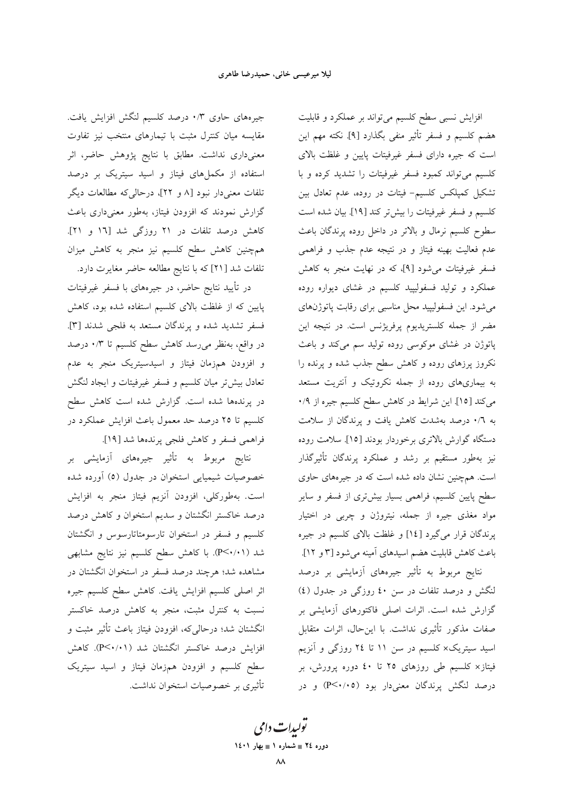جیرههای حاوی ۰/۳ درصد کلسیم لنگش افزایش یافت. مقایسه میان کنترل مثبت با تیمارهای منتخب نیز تفاوت معنیداری نداشت. مطابق با نتایج پژوهش حاضر، اثر استفاده از مکملهای فیتاز و اسید سیتریک بر درصد تلفات معنیدار نبود [۸ و ۲۲]، درحالی که مطالعات دیگر گزارش نمودند که افزودن فیتاز، بهطور معنیداری باعث کاهش درصد تلفات در ۲۱ روزگی شد [۱۲ و ۲۱]. همچنین کاهش سطح کلسیم نیز منجر به کاهش میزان تلفات شد [۲۱] که با نتایج مطالعه حاضر مغایرت دارد.

در تأیید نتایج حاضر، در جیرههای با فسفر غیرفیتات پایین که از غلظت بالای کلسیم استفاده شده بود، کاهش فسفر تشدید شده و پرندگان مستعد به فلجی شدند [۳]. در واقع، بەنظر مىررسد كاھش سطح كلسيم تا ۰/۳ درصد و افزودن همزمان فیتاز و اسیدسیتریک منجر به عدم تعادل بیشتر میان کلسیم و فسفر غیرفیتات و ایجاد لنگش در پرندهها شده است. گزارش شده است کاهش سطح کلسیم تا ۲۵ درصد حد معمول باعث افزایش عملکرد در فراهمي فسفر و كاهش فلجي يرندهها شد [١٩].

نتايج مربوط به تأثير جيرههاي آزمايشي بر خصوصیات شیمیایی استخوان در جدول (٥) أورده شده است. بهطورکلی، افزودن آنزیم فیتاز منجر به افزایش درصد خاکستر انگشتان و سدیم استخوان و کاهش درصد کلسیم و فسفر در استخوان تارسومتاتارسوس و انگشتان شد (۲۰/۱-P). با کاهش سطح کلسیم نیز نتایج مشابهی مشاهده شد؛ هرچند درصد فسفر در استخوان انگشتان در اثر اصلی کلسیم افزایش یافت. کاهش سطح کلسیم جیره نسبت به کنترل مثبت، منجر به کاهش درصد خاکستر انگشتان شد؛ درحالیکه، افزودن فیتاز باعث تأثیر مثبت و افزایش درصد خاکستر انگشتان شد (P<۰/۰۱). کاهش سطح کلسیم و افزودن همزمان فیتاز و اسید سیتریک تأثیری بر خصوصیات استخوان نداشت. افزایش نسبی سطح کلسیم میتواند بر عملکرد و قابلیت هضم كلسيم و فسفر تأثير منفى بگذارد [۹]. نكته مهم اين است که جیره دارای فسفر غیرفیتات پایین و غلظت بالای کلسیم میتواند کمبود فسفر غیرفیتات را تشدید کرده و با تشکیل کمپلکس کلسیم- فیتات در روده، عدم تعادل بین كلسيم و فسفر غيرفيتات را بيش تر كند [١٩]. بيان شده است سطوح کلسیم نرمال و بالاتر در داخل روده پرندگان باعث عدم فعالیت بهینه فیتاز و در نتیجه عدم جذب و فراهمی فسفر غیرفیتات می شود [۹]، که در نهایت منجر به کاهش عملکرد و تولید فسفولیپید کلسیم در غشای دیواره روده می شود. این فسفولیپید محل مناسبی برای رقابت پاتوژنهای مضر از جمله کلستریدیوم پرفریژنس است. در نتیجه این پاتوژن در غشای موکوسی روده تولید سم میکند و باعث نکروز پرزهای روده و کاهش سطح جذب شده و پرنده را به بیماریهای روده از جمله نکروتیک و آنتریت مستعد می کند [١٥]. این شرایط در کاهش سطح کلسیم جیره از ٠/٩ به ۰/٦ درصد بهشدت کاهش یافت و پرندگان از سلامت دستگاه گوارش بالاتری برخوردار بودند [۱۵]. سلامت روده نیز بهطور مستقیم بر رشد و عملکرد پرندگان تأثیرگذار است. همچنین نشان داده شده است که در جیرههای حاوی سطح پایین کلسیم، فراهمی بسیار بیشتری از فسفر و سایر مواد مغذی جیره از جمله، نیتروژن و چرب<sub>ی</sub> در اختیار پرندگان قرار میگیرد [۱٤] و غلظت بالای کلسیم در جیره باعث کاهش قابلیت هضم اسیدهای آمینه میشود [۳ و ۱۲].

نتایج مربوط به تأثیر جیرههای آزمایشی بر درصد لنگش و درصد تلفات در سن ٤٠ روزگي در جدول (٤) گزارش شده است. اثرات اصلی فاکتورهای آزمایشی بر صفات مذكور تأثيري نداشت. با اين حال، اثرات متقابل اسید سیتریک× کلسیم در سن ۱۱ تا ۲٤ روزگی و آنزیم فیتاز× کلسیم طی روزهای ۲۵ تا <mark>٤٠</mark> دوره پرورش، بر درصد لنگش پرندگان معنیدار بود (P<۰/۰۵) و در

تو*لیدات دامی* دوره ٢٤ = شماره ١ = بهار ١٤٠١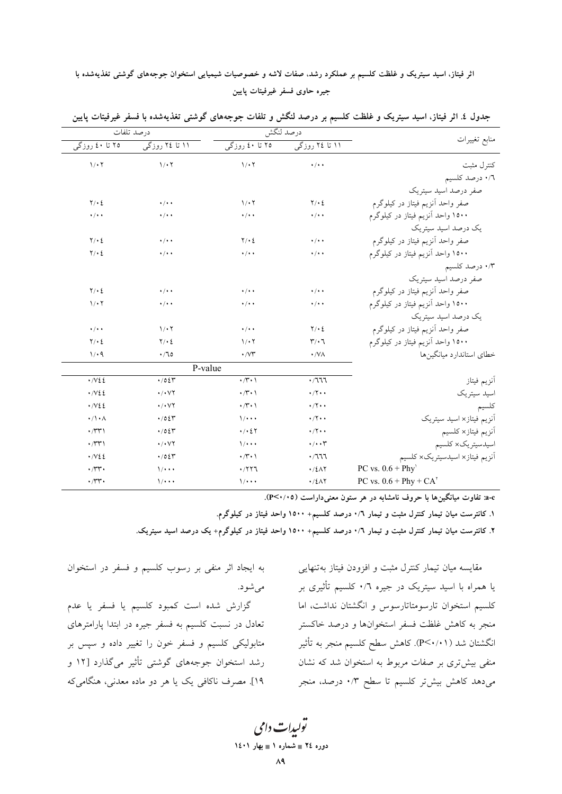# اثر فیتاز، اسید سیتریک و غلظت کلسیم بر عملکرد رشد، صفات لاشه و خصوصیات شیمیایی استخوان جوجههای گوشتی تغذیهشده با جيره حاوى فسفر غيرفيتات يايين

| درصد تلفات                            |                                    |                            | درصد لنگش                   |                                                        |  |
|---------------------------------------|------------------------------------|----------------------------|-----------------------------|--------------------------------------------------------|--|
| ۲۵ تا ٤٠ روزگي                        | ۱۱ تا ۲ <b>٤</b> روزگ <sub>ی</sub> | ۲۵ تا ٤٠ روزگ <sub>ی</sub> | ۱۱ تا ۲ <b>٤</b> روزگی      | منابع تغييرات                                          |  |
| 1/27                                  | $1/\cdot 7$                        | 1/27                       | $\cdot$ / $\cdot$ $\cdot$   | كنترل مثبت                                             |  |
|                                       |                                    |                            |                             | ٠/٦ درصد كلسيم                                         |  |
|                                       |                                    |                            |                             | صفر درصد اسید سیتریک                                   |  |
| $Y \cdot 2$                           | $\cdot$ / $\cdot$ $\cdot$          | 1/27                       | $Y \cdot \Sigma$            | صفر واحد آنزيم فيتاز در كيلوگرم                        |  |
| $\cdot/\cdot$                         | $\cdot$ / $\cdot$ +                | $\cdot/\cdot$ .            | $\cdot$ / $\cdot$ $\cdot$   | ۱۵۰۰ واحد آنزیم فیتاز در کیلوگرم                       |  |
|                                       |                                    |                            |                             | یک درصد اسید سپتریک                                    |  |
| $Y \cdot 2$                           | $\cdot$ / $\cdot$ $\cdot$          | $Y \cdot 2$                | $\cdot$ / $\cdot$ $\cdot$   | صفر واحد أنزيم فيتاز در كيلوگرم                        |  |
| $Y \cdot 2$                           | $\cdot$ / $\cdot$ $\cdot$          | $\cdot$ / $\cdot$ $\cdot$  | $\cdot$ / $\cdot$ $\cdot$   | ۱۵۰۰ واحد أنزيم فيتاز در كيلوگرم                       |  |
|                                       |                                    |                            |                             | ۰/۳ درصد کلسیم                                         |  |
|                                       |                                    |                            |                             | صفر درصد اسید سپتریک                                   |  |
| $Y \cdot \Sigma$                      | $\cdot$ / $\cdot$ $\cdot$          | $\cdot$ / $\cdot$ $\cdot$  | $\cdot$ / $\cdot$ $\cdot$   | صفر واحد أنزيم فيتاز در كيلوگرم                        |  |
| 1/27                                  | $\cdot$ / $\cdot$ $\cdot$          | $\cdot$ / $\cdot$ $\cdot$  | $\cdot$ / $\cdot$ $\cdot$   | ۱۵۰۰ واحد آنزیم فیتاز در کیلوگرم                       |  |
|                                       |                                    |                            |                             | یک درصد اسید سپتریک                                    |  |
| $\cdot$ / $\cdot$ $\cdot$             | $1/\cdot 7$                        | $\cdot/\cdot$ .            | $Y \cdot \Sigma$            | صفر واحد أنزيم فيتاز در كيلوگرم                        |  |
| $Y \cdot 2$                           | $Y/\cdot 2$                        | 1/27                       | $\mathbf{r}\cdot\mathbf{r}$ | ۱۵۰۰ واحد آنزیم فیتاز در کیلوگرم                       |  |
| 1/4                                   | $\cdot$ / 70                       | $\cdot$ / $\vee\tau$       | $\cdot$ /VA                 | خطاي استاندارد ميانگينها                               |  |
|                                       | P-value                            |                            |                             |                                                        |  |
| $\cdot$ / $\vee$ 2 2                  | $\cdot$ /02 $\tau$                 | $\cdot$ / $\cdot$ \        | .7777                       | أنزيم فيتاز                                            |  |
| $\cdot$ / $\vee$ 2 2                  | $\cdot$ / $\cdot$ $\vee$ $\vee$    | $\cdot$ / $\cdot$ )        | $\cdot$ /۲ $\cdot$ $\cdot$  | اسيد سيتريك                                            |  |
| $\cdot$ / $\vee$ 2 2                  | $\cdot$ / $\cdot$ $\vee$ $\vee$    | $\cdot$ / $\cdot$ )        | $\cdot$ /۲ $\cdot$ .        | كلسيم                                                  |  |
| $\cdot/\cdot \wedge$                  | .7024                              | $\sqrt{\cdot \cdot \cdot}$ | $\cdot$ /۲ $\cdot$          | اًنزیم فیتاز× اسید سیتریک                              |  |
| $\cdot$ / $\uparrow\uparrow\uparrow$  | .705                               | $\cdot$ / $\cdot$ 2 $\tau$ | $\cdot$ /۲ $\cdot$ .        | آنزيم فيتاز× كلسيم                                     |  |
| $\cdot$ / $\uparrow\uparrow\uparrow$  | $\cdot$ / $\cdot$ $\vee$ $\vee$    | $\sqrt{\cdot \cdot \cdot}$ | $\cdot/\cdot\cdot$          | اسيدسيتريك× كلسيم                                      |  |
| $\cdot$ / $\vee$ 2 2                  | $\cdot$ /02 $\tau$                 | $\cdot$ / $\cdot$ )        | .7777                       | آنزيم فيتاز× اسيدسيتريك× كلسيم                         |  |
| $\cdot$ / $\mathsf{r}\mathsf{r}\cdot$ | $\sqrt{\cdot \cdot \cdot}$         | .7777                      | .721                        | PC vs. $0.6 + Phy'$                                    |  |
| $\cdot$ / $\mathsf{r}\mathsf{r}\cdot$ | $\frac{1}{2}$                      | $1/$                       | $\cdot$ /٤ $\wedge$ ٢       | PC vs. $0.6$ + Phy + CA <sup><math>\prime</math></sup> |  |

جدول ٤. اثر فیتاز، اسید سیتریک و غلظت کلسیم بر درصد لنگش و تلفات جوجههای گوشتی تغذیهشده با فسفر غیرفیتات پایین

a-c: تفاوت میانگینها با حروف نامشابه در هر ستون معنیداراست (P<۰/۰۵).

۱. کانترست میان تیمار کنترل مثبت و تیمار ۰/٦ درصد کلسیم+ ۱۵۰۰ واحد فیتاز در کیلوگرم.

۲. کانترست میان تیمار کنترل مثبت و تیمار ۰/٦ درصد کلسیم+ ۱۵۰۰ واحد فیتاز در کیلوگرم+ یک درصد اسید سیتریک.

مقايسه ميان تيمار كنترل مثبت و افزودن فيتاز بهتنهايي یا همراه با اسید سیتریک در جیره ۰/٦ کلسیم تأثیری بر کلسیم استخوان تارسومتاتارسوس و انگشتان نداشت، اما منجر به كاهش غلظت فسفر استخوانها و درصد خاكستر انگشتان شد (P<۰/۰۱). كاهش سطح كلسيم منجر به تأثير منفی بیش تری بر صفات مربوط به استخوان شد که نشان میدهد کاهش بیش تر کلسیم تا سطح ۰/۳ درصد، منجر

به ایجاد اثر منفی بر رسوب کلسیم و فسفر در استخوان مې شو د.

گزارش شده است کمبود کلسیم یا فسفر یا عدم تعادل در نسبت کلسیم به فسفر جیره در ابتدا پارامترهای متابولیکی کلسیم و فسفر خون را تغییر داده و سپس بر رشد استخوان جوجههای گوشتی تأثیر میگذارد [۱۲ و ١٩]. مصرف ناكافي يک يا هر دو ماده معدني، هنگاميكه

تولیدات دامی دوره ٢٤ = شماره ١ = بهار ١٤٠١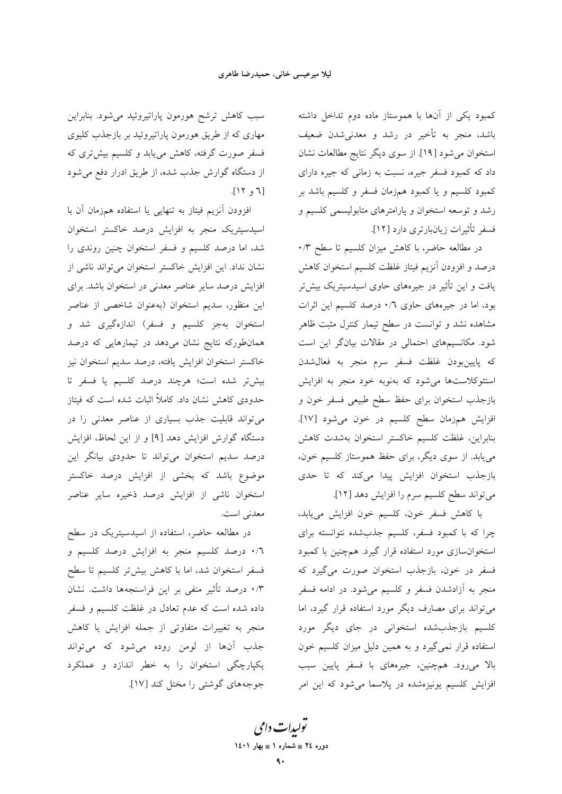کمبود یکی از آنها با هموستاز ماده دوم تداخل داشته باشد، منجر به تأخیر در رشد و معدنی شدن ضعیف استخوان میشود [۱۹]. از سوی دیگر نتایج مطالعات نشان داد که کمبود فسفر جیره، نسبت به زمانی که جیره دارای کمبود کلسیم و یا کمبود همزمان فسفر و کلسیم باشد بر رشد و توسعه استخوان و پارامترهای متابولیسمی کلسیم و فسفر تأثيرات زيانبارتري دارد [١٢].

در مطالعه حاضر، با كاهش ميزان كلسيم تا سطح ٠/٣ درصد و افزودن آنزیم فیتاز غلظت کلسیم استخوان کاهش .<br>یافت و این تأثیر در جیرههای حاوی اسیدسیتریک بیش تر بود، اما در جیرههای حاوی ۰/٦ درصد کلسیم این اثرات مشاهده نشد و توانست در سطح تیمار کنترل مثبت ظاهر شود. مکانسیمهای احتمالی در مقالات بیانگر این است كه پايينبودن غلظت فسفر سرم منجر به فعالشدن استئوکلاستها میشود که بهنوبه خود منجر به افزایش بازجذب استخوان براي حفظ سطح طبيعي فسفر خون و افزايش همزمان سطح كلسيم در خون مى شود [١٧]. بنابراين، غلظت كلسيم خاكستر استخوان بهشدت كاهش می یابد. از سوی دیگر، برای حفظ هموستاز کلسیم خون، بازجذب استخوان افزایش پیدا میکند که تا حدی مي تواند سطح كلسيم سرم را افزايش دهد [١٢].

با كاهش فسفر خون، كلسيم خون افزايش مىيابد، چرا که با کمبود فسفر، کلسیم جذبشده نتوانسته برای استخوان سازی مورد استفاده قرار گیرد. همچنین با کمبود فسفر در خون، بازجذب استخوان صورت میگیرد که منجر به آزادشدن فسفر و کلسیم میشود. در ادامه فسفر می تواند برای مصارف دیگر مورد استفاده قرار گیرد، اما کلسیم بازجذبشده استخوانی در جای دیگر مورد استفاده قرار نمیگیرد و به همین دلیل میزان کلسیم خون بالا میرود. همچنین، جیرههای با فسفر پایین سبب افزایش کلسیم یونیزهشده در پلاسما میشود که این امر

سبب کاهش ترشح هورمون پاراتیروئید می شود. بنابراین مهاری که از طریق هورمون پاراتیروئید بر بازجذب کلیوی فسفر صورت گرفته، کاهش مییابد و کلسیم بیشتری که از دستگاه گوارش جذب شده، از طریق ادرار دفع می شود  $[17, 7]$ 

افزودن أنزيم فيتاز به تنهايي يا استفاده همزمان أن با اسیدسیتریک منجر به افزایش درصد خاکستر استخوان شد، اما درصد کلسیم و فسفر استخوان چنین روندی را نشان نداد. این افزایش خاکستر استخوان می تواند ناشی از افزایش درصد سایر عناصر معدنی در استخوان باشد. برای این منظور، سدیم استخوان (بهعنوان شاخصی از عناصر استخوان بهجز كلسيم و فسفر) اندازهگيري شد و همانطورکه نتایج نشان میدهد در تیمارهایی که درصد خاكستر استخوان افزايش يافته، درصد سديم استخوان نيز بیش تر شده است؛ هرچند درصد کلسیم یا فسفر تا حدودی کاهش نشان داد. کاملاً اثبات شده است که فیتاز می تواند قابلیت جذب بسیاری از عناصر معدنی را در دستگاه گوارش افزایش دهد [۹] و از این لحاظ، افزایش درصد سدیم استخوان میتواند تا حدودی بیانگر این موضوع باشد که بخشی از افزایش درصد خاکستر استخوان ناشی از افزایش درصد ذخیره سایر عناصر معدني است.

در مطالعه حاضر، استفاده از اسیدسیتریک در سطح ۰/٦ درصد کلسیم منجر به افزایش درصد کلسیم و فسفر استخوان شد، اما با کاهش بیشتر کلسیم تا سطح ۰/۳ درصد تأثیر منفی بر این فراسنجهها داشت. نشان داده شده است که عدم تعادل در غلظت کلسیم و فسفر منجر به تغییرات متفاوتی از جمله افزایش یا کاهش جذب آنها از لومن روده می شود که می تواند یکپارچگی استخوان را به خطر اندازد و عملکرد جوجههای گوشتی را مختل کند [۱۷].

تو<sub>لیدا</sub>ت دامی دوره ٢٤ = شماره ١ = بهار ١٤٠١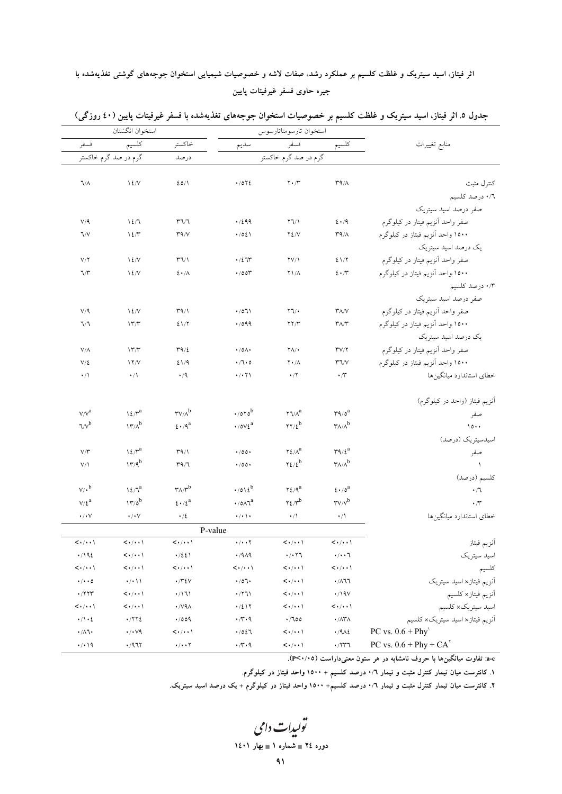# اثر فیتاز، اسید سیتریک و غلظت کلسیم بر عملکرد رشد، صفات لاشه و خصوصیات شیمیایی استخوان جوجههای گوشتی تغذیهشده با جيره حاوى فسفر غيرفيتات پايين

|                                     | استخوان انگشتان                                |                                     |                                           | استخوان تارسومتاتارسوس               |                                                               |                                                                               |  |
|-------------------------------------|------------------------------------------------|-------------------------------------|-------------------------------------------|--------------------------------------|---------------------------------------------------------------|-------------------------------------------------------------------------------|--|
| فسفر                                | كلسيم                                          | خاكستر                              | سديم                                      |                                      | كلسيم                                                         | منابع تغييرات                                                                 |  |
|                                     | گرم در صد گرم خاکستر<br>درصد                   |                                     | فسفر<br>گرم در صد گرم خاکستر              |                                      |                                                               |                                                                               |  |
|                                     |                                                |                                     |                                           |                                      |                                                               |                                                                               |  |
| $\sqrt{\Lambda}$                    | 12/V                                           | 20/1                                | $\cdot$ /0 $\cdot$ 2                      | $\mathbf{Y} \cdot \mathbf{X}$        | $\mathsf{r}\mathsf{q}/\mathsf{A}$                             | كنترل مثبت                                                                    |  |
|                                     |                                                |                                     |                                           |                                      |                                                               | ٠/٦ درصد كلسيم                                                                |  |
|                                     |                                                |                                     |                                           |                                      |                                                               | صفر درصد اسید سیتریک                                                          |  |
| $V/\mathcal{A}$                     | 12/7                                           | $\mathsf{r} \mathsf{v} \mathsf{r}$  | .7299                                     | $\Upsilon \Upsilon / \Upsilon$       | $2 \cdot 9$                                                   | صفر واحد أنزيم فيتاز در كيلوگرم                                               |  |
| 7/V                                 | $12/\tau$                                      | $\Upsilon$ ۹/۷                      | $\cdot$ /02 \                             | $Y\S$ / $V$                          | $\mathsf{r}\mathsf{q}/\mathsf{A}$                             | ۱۵۰۰ واحد آنزیم فیتاز در کیلوگرم                                              |  |
|                                     |                                                |                                     |                                           |                                      |                                                               | یک درصد اسید سیتریک                                                           |  |
| $V/\Upsilon$                        | 12/V                                           | $\Upsilon \Upsilon$                 | $\cdot/2$ 75                              | $\Upsilon V/\Upsilon$                | 21/7                                                          | صفر واحد أنزيم فيتاز در كيلوگرم                                               |  |
| 7/7                                 | 12/V                                           | $2 \cdot / \Lambda$                 | $\cdot$ /00 $\tilde{r}$                   | $Y1/\Lambda$                         | $2 \cdot \pi$                                                 | ۱۵۰۰ واحد الزیم فیتاز در کیلوگرم                                              |  |
|                                     |                                                |                                     |                                           |                                      |                                                               | ۰/۳ درصد کلسیم                                                                |  |
|                                     |                                                |                                     |                                           |                                      |                                                               | صفر درصد اسید سیتریک                                                          |  |
| V/9                                 | 12/V                                           | $\Upsilon$ ۹/۱                      | $\cdot$ /071                              | $\Upsilon \Upsilon$                  | $Y/\sqrt{V}$                                                  | صفر واحد أنزيم فيتاز در كيلوگرم                                               |  |
| 7/7                                 | 17''                                           | 21/7                                | .7099                                     | YY/Y                                 | $\mathsf{r}_{\Lambda/\mathsf{r}}$                             | ۱۵۰۰ واحد آنزیم فیتاز در کیلوگرم                                              |  |
|                                     |                                                |                                     |                                           |                                      |                                                               | یک درصد اسید سیتریک                                                           |  |
| $V/\Lambda$                         | 177                                            | $\Upsilon$ 9/2                      | $\cdot$ /0 $\wedge$                       | $Y\Lambda/\cdot$                     | $\Upsilon V/\Upsilon$                                         | صفر واحد أنزيم فيتاز در كيلوگرم                                               |  |
| $V/\xi$                             | 17/V                                           | 21/9                                | $\cdot$ / $\cdot$ 0                       | $Y \cdot / \Lambda$                  | $Y\mathcal{A}/V$                                              | ۱۵۰۰ واحد اًنزیم فیتاز در کیلوگرم                                             |  |
| $\cdot/$                            | $\cdot/\wedge$                                 | $\cdot/9$                           | $\cdot$ / $\cdot$ $\uparrow$ \            | $\cdot$ /٢                           | $\cdot$ /۳                                                    | خطاى استاندارد ميانگينها                                                      |  |
|                                     |                                                |                                     |                                           |                                      |                                                               | آنزیم فیتاز (واحد در کیلوگرم)                                                 |  |
| $V/V^a$                             | $12/\gamma^a$                                  | $rv/a^b$                            | $\cdot$ /070 <sup>b</sup>                 | $\mathbf{Y} \mathbf{1}/\Lambda^a$    | $r_1/\circ^a$                                                 | صفر                                                                           |  |
| $\mathcal{N}^{\text{b}}$            | $17^b$                                         | $\epsilon \cdot 9^a$                | $\cdot$ / 0 $\vee$ $\xi$ <sup>a</sup>     | $\gamma\gamma/\epsilon^b$            | $\mathsf{r}_{\Lambda/\Lambda}^{\mathsf{b}}$                   | $\lambda \circ \cdot \cdot$                                                   |  |
|                                     |                                                |                                     |                                           |                                      |                                                               | اسیدسیتریک (درصد)                                                             |  |
| V/Y                                 | $12/\gamma^a$                                  | $\Upsilon$ ۹/۱                      | 4/00                                      | $\Upsilon\mathcal{L}/\Lambda^a$      | $\mathbf{r} \mathbf{q}/\boldsymbol{\xi}^a$                    | صفر                                                                           |  |
| $V/\lambda$                         | $177^b$                                        | $\Gamma$ ۹/٦                        | $\cdot$ /00 $\cdot$                       | $yz/t^b$                             | $\mathsf{r}_{\Lambda/\Lambda}^{\mathsf{b}}$                   |                                                                               |  |
|                                     |                                                |                                     |                                           |                                      |                                                               | كلسيم (درصد)                                                                  |  |
| $\mathsf{V}/\mathsf{I}^\mathsf{b}$  | $\ensuremath{\mathop{\mathcal{M}}\nolimits}^a$ | $\mathbf{r}_{A}/\mathbf{r}^{b}$     | $\cdot$ /012 <sup>b</sup>                 | $\Upsilon\mathcal{L}/\mathfrak{q}^a$ | $\xi \cdot / \delta^a$                                        | $\cdot/ \mathcal{A}$                                                          |  |
| $V/\xi^a$                           | $17/0^b$                                       | $\xi\star/\xi^a$                    | $\cdot$ / 0 $\Lambda$ $\tau$ <sup>a</sup> | $\gamma \xi / \gamma^b$              | $rw/v^b$                                                      | $\cdot$ / $\cdot$                                                             |  |
| $\cdot/\cdot$ $\vee$                | $\cdot/\cdot$ $\vee$                           | $\cdot/2$                           | $\cdot/\cdot$ \ $\cdot$                   | $\cdot/$                             | $\cdot/$                                                      | خطاى استاندارد ميانگينها                                                      |  |
|                                     |                                                |                                     | P-value                                   |                                      |                                                               |                                                                               |  |
| $\langle \cdot/\cdot \cdot \rangle$ | $\langle \cdot/\cdot\cdot\rangle$              | $\langle \cdot/\cdot \cdot \rangle$ | $\cdot$ / $\cdot$ $\cdot$ $\cdot$         | $\langle \cdot/\cdot \cdot \rangle$  | $\langle \cdot/\cdot \cdot \rangle$                           | أنزيم فيتاز                                                                   |  |
| .7192                               | $\langle \cdot/\cdot\cdot\rangle$              | $\cdot/221$                         | $\cdot$ /919                              | $\cdot$ / $\cdot$ $\cdot$            | $\cdot/\cdot\cdot$                                            | اسيد سيتريك                                                                   |  |
| $\langle \cdot/\cdot \cdot \rangle$ | $\langle \cdot/\cdot\cdot\rangle$              | $\langle \cdot/\cdot \cdot \rangle$ | $\langle \cdot/\cdot \cdot \rangle$       | $\langle \cdot/\cdot \cdot \rangle$  | $<\!\!\cdot\!/\!\!\cdot\cdot\backslash$                       | كلسيم                                                                         |  |
| $\cdot/\cdot\cdot$ 0                | $\cdot/\cdot$ \ \                              | $\cdot$ /۳٤٧                        | $\cdot$ /07 $\cdot$                       | $\langle\cdots\rangle$               | $\cdot$ /<br>AV                                               | اًنزیم فیتاز× اسید سیتریک                                                     |  |
| $\cdot$ /۲۲۳                        | $\langle\cdot/\cdot\cdot\rangle$               | $\cdot$ /\'\\                       | $\cdot$ /٢٦١                              | $\langle\cdots\rangle$               | $\cdot$ /19 $V$                                               |                                                                               |  |
| $\langle\cdots\rangle$              | $\langle\cdot/\cdot\cdot\rangle$               | $\cdot$ /v٩ $\land$                 | $\cdot/2$ \ $\Upsilon$                    | $\langle\cdots\rangle$               | $\langle\cdot/\cdot\cdot\rangle$                              | اَنزیم فیتاز× کلسیم<br>اسید سیتریک× کلسیم<br>اَنزیم فیتاز× اسید سیتریک× کلسیم |  |
| $\cdot/\cdot$ {                     | $\cdot$ /۲۲٤                                   | .009                                | $\cdot$ /۳ $\cdot$ ۹                      | $\cdot$ /100                         | $\boldsymbol{\cdot}$ /<br>$\wedge\boldsymbol{\Upsilon}\wedge$ |                                                                               |  |
| $\cdot/\lambda$ l $\cdot$           | $\cdot/\cdot\vee\mathbf{q}$                    | $\langle \cdot/\cdot \cdot \rangle$ | .7027                                     | $\langle\cdots\rangle$               | $\cdot$ /9/12                                                 | PC vs. $0.6 + Phy'$                                                           |  |
| $\cdot/\cdot$ 19                    | $\cdot$ /971                                   | $\cdot/\cdot\cdot$ Y                | $\cdot$ /۳ $\cdot$ ۹                      | $\langle\cdots\rangle$               | $\cdot$ /۲۳٦                                                  | PC vs. $0.6$ + Phy + CA <sup><math>\tau</math></sup>                          |  |

جدول ۵ـ اثر فیتاز، اسید سیتریک و غلظت کلسیم بر خصوصیات استخوان جوجههای تغذیهشده با فسفر غیرفیتات پایین (٤٠ روزگی)

e−c: تفاوت میانگینها با حروف نامشابه در هر ستون معنیداراست (P<۰/۰۵).

۱. کانترست میان تیمار کنترل مثبت و تیمار ۰/٦ درصد کلسیم + ۱۵۰۰ واحد فیتاز در کیلوگرم.

۲. کانترست میان تیمار کنترل مثبت و تیمار ۰/٦ درصد کلسیم+ ۱۵۰۰ واحد فیتاز در کیلوگرم + یک درصد اسید سیتریک.

تولیدات دامی

### دوره ٢٤ = شماره ١ = بهار ١٤٠١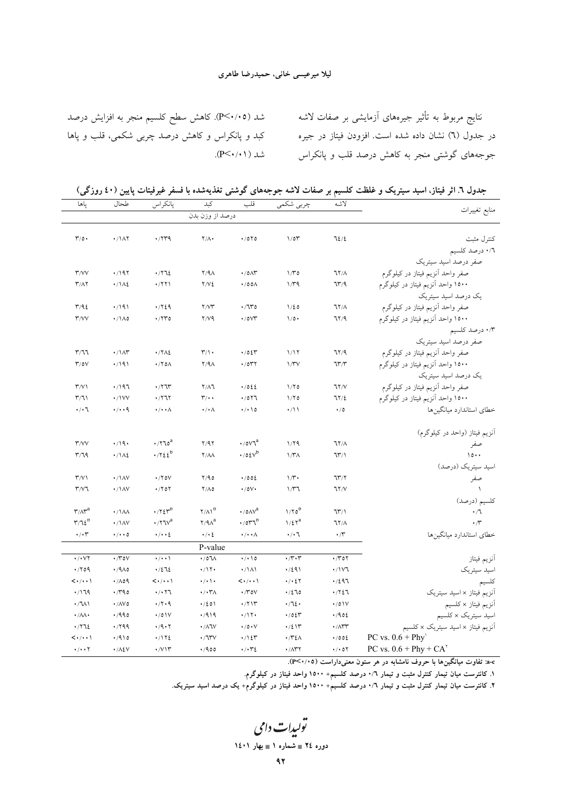#### ليلا ميرعيسى خانى، حميدرضا طاهري

شد (P<۰/۰۵). کاهش سطح کلسیم منجر به افزایش درصد نتايج مربوط به تأثير جيرههاي آزمايشي بر صفات لاشه کبد و پانکراس و کاهش درصد چربی شکمی، قلب و پاها در جدول (٦) نشان داده شده است. افزودن فیتاز در جیره جوجههای گوشتی منجر به کاهش درصد قلب و پانکراس شد ( P<۰/۰۱).

جدول ٦. اثر فیتاز، اسید سیتریک و غلظت کلسیم بر صفات لاشه جوجههای گوشتی تغذیهشده با فسفر غیرفیتات پایین (٤٠ روزگی)

| ياها                                           | طحال                        | پانكراس                                                    | كبد                      | قلب                                       | چربی شکمی                        | لاشه                            | منابع تغييرات                                          |
|------------------------------------------------|-----------------------------|------------------------------------------------------------|--------------------------|-------------------------------------------|----------------------------------|---------------------------------|--------------------------------------------------------|
|                                                |                             |                                                            | درصد از وزن بدن          |                                           |                                  |                                 |                                                        |
|                                                |                             |                                                            |                          |                                           |                                  |                                 |                                                        |
| $\mathcal{N}/\mathfrak{o}$ .                   | $\cdot$ / $\lambda$ Y       | $\cdot$ /۲۳۹                                               | $\Upsilon/\Lambda$       | $\cdot$ /0 $\vee$ 0                       | 1/07                             | 72/2                            | كنترل مثبت                                             |
|                                                |                             |                                                            |                          |                                           |                                  |                                 | ۰٬٦٪ درصد كلسيم                                        |
|                                                |                             |                                                            |                          |                                           |                                  |                                 | صفر درصد اسید سیتریک                                   |
| $\Upsilon/VV$                                  | $\cdot$ /197                | $\cdot$ / $\vee$ $\vee$ $\in$                              | $Y/9\Lambda$             | $\cdot$ /0 $\wedge\uparrow$               | $1/\mathcal{r}$ 0                | 77/1                            | صفر واحد أنزيم فيتاز در كيلوگرم                        |
| $\Upsilon/\Lambda\Upsilon$                     | $\cdot/\Delta\epsilon$      | $\cdot$ /۲۲۱                                               | Y/V                      | $\cdot$ /00 $\Lambda$                     | $1/\tau$ ۹                       | 717/9                           | ۱۵۰۰ واحد آنزیم فیتاز در کیلوگرم                       |
|                                                |                             |                                                            |                          |                                           |                                  |                                 | یک درصد اسید سیتریک                                    |
| T/92                                           | $\cdot$ /191                | $\cdot$ / $\cdot$ 29                                       | Y/YY                     | $\cdot$ / $\uparrow\uparrow\circ$         | 1/20                             | 77/1                            | صفر واحد أنزيم فيتاز در كيلوگرم                        |
| $\mathsf{r}/\mathsf{v}\mathsf{v}$              | $\cdot/\lambda$ 0           | $\cdot$ /۲۳٥                                               | Y/V9                     | $\cdot$ /0 $\vee$                         | $1/\circ \cdot$                  | 717/9                           | ۱۵۰۰ واحد آنزیم فیتاز در کیلوگرم                       |
|                                                |                             |                                                            |                          |                                           |                                  |                                 | ۰/۳ درصد کلسیم                                         |
|                                                |                             |                                                            |                          |                                           |                                  |                                 | صفر درصد اسید سیتریک                                   |
| $\mathsf{r}/\mathsf{1}\mathsf{1}$              | $\cdot/\lambda r$           | $\cdot$ / $\gamma$ / $\epsilon$                            | $\mathbf{r}/\mathbf{v}$  | $\cdot$ /02 $\tau$                        | 1/17                             | 71/9                            | صفر واحد آنزيم فيتاز در كيلوگرم                        |
| $\Upsilon/\circ V$                             | .7191                       | $\cdot$ /۲٥Λ                                               | $Y/4\Lambda$             | ۰/٥٣٢                                     | $1/\gamma\gamma$                 | 77''                            | ۱۵۰۰ واحد النزیم فیتاز در کیلوگرم                      |
|                                                |                             |                                                            |                          |                                           |                                  |                                 | یک درصد اسید سیتریک                                    |
| $\Upsilon/V$                                   | .7197                       | $\cdot$ / $\uparrow \uparrow \uparrow$                     | $Y/\Lambda$ ٦            | .7022                                     | 1/70                             | 7Y/V                            | صفر واحد أنزيم فيتاز در كيلوگرم                        |
| $\Gamma(1)$                                    | $\cdot$ /\VV                | .777                                                       | $\mathbf{r}/\cdot$       | .7011                                     | 1/70                             | 77/2                            | ۱۵۰۰ واحد آنزیم فیتاز در کیلوگرم                       |
| $\cdot/\cdot$ 1                                | $\cdot$ / $\cdot$ 9         | $\cdot/\cdot\cdot\wedge$                                   | $\cdot/\cdot \wedge$     | $\cdot$ / $\cdot$ / 0                     | $\cdot/11$                       | $\cdot/0$                       | خطاى استاندارد ميانگينها                               |
|                                                |                             |                                                            |                          |                                           |                                  |                                 |                                                        |
|                                                |                             |                                                            |                          |                                           |                                  |                                 | آنزیم فیتاز (واحد در کیلوگرم)                          |
| $\Upsilon/VV$                                  | $\cdot$ /19 $\cdot$         | $\boldsymbol{\cdot}$ / $\boldsymbol{\upgamma}$ voatlands . | Y/9Y                     | $\cdot$ /0 $\vee$ <sup>a</sup>            | 1/79                             | 77/1                            | صفر                                                    |
| $\mathsf{r}/\mathsf{r}$                        | $\cdot/\lambda$             | $\cdot$ / $\cdot$ / $\cdot$ / $\cdot$                      | $Y/\Lambda\Lambda$       | $\cdot$ /0 $\mathcal{E}v^b$               | $1/\Upsilon\Lambda$              | $\frac{1}{2}$                   | $\lambda$                                              |
|                                                |                             |                                                            |                          |                                           |                                  |                                 | اسید سیتریک (درصد)                                     |
| $\Upsilon/V$                                   | $\cdot / N$                 | $\cdot$ /۲٥۷                                               | Y/90                     | .002                                      | $1/\mathcal{r}$                  | 717/7                           | صفر                                                    |
| $\mathsf{r}/\mathsf{v}$                        | $\cdot / N$                 | $\cdot$ /۲٥۲                                               | $Y/\Lambda$ 0            | $\cdot$ /0 $\vee$ $\cdot$                 | 1/T                              | 7Y/V                            |                                                        |
|                                                |                             |                                                            |                          |                                           |                                  |                                 | كلسيم (درصد)                                           |
| $\mathbf{r}/\mathbf{A}\mathbf{r}^{\mathrm{a}}$ | $\cdot$ / $\lambda\lambda$  | $\cdot$ / $\gamma \epsilon r^{b}$                          | $Y/\Lambda$ <sup>b</sup> | $\cdot$ /0 $\wedge$ $\vee$ <sup>a</sup>   | $1/\gamma_0^b$                   | $\mathcal{W}'$                  | $\cdot/7$                                              |
| $\mathbf{r}/\mathbf{u}\mathbf{v}^{\mathsf{b}}$ | $\cdot / \lambda V$         | $\cdot$ /۲٦ $v^a$                                          | $\gamma$ /۹ $\Lambda^a$  | $\cdot$ / $\circ$ $\circ$ $\circ$ $\circ$ | $\mathcal{N}(\mathcal{E})^a$     | 77/1                            | $\cdot$ / $\cdot$                                      |
| $\cdot/\cdot$ r                                | $\cdot/\cdot\cdot$ 0        | $\cdot/\cdot\cdot\}$                                       | $\cdot$ / $\cdot$ {      | $\cdot/\cdot\cdot\wedge$                  | $\cdot/\cdot$ \                  | $\cdot$ / $\cdot$               | خطای استاندارد میانگینها                               |
|                                                |                             |                                                            | P-value                  |                                           |                                  |                                 |                                                        |
| $\cdot$ / $\cdot$ $\vee$ $\vee$                | $\cdot \pi$ ov              | $\cdot$ / $\cdot$ \                                        | $\cdot$ /0 $\lambda$     | $\cdot$ / $\cdot$ \ 0                     | $\cdot \pi \cdot \tau$           | $\cdot \wedge \cdot \circ \vee$ | أنزيم فيتاز                                            |
| $\cdot$ /۲٥۹                                   | $\cdot$ /9/0                | .7272                                                      | $\cdot/11$               | $\cdot/\lambda$                           | $\cdot$ /291                     | $\cdot$ / $\vee$                | اسيد سيتريك                                            |
| $\langle \cdot/\cdot\cdot\rangle$              | .709                        | $\langle \cdot/\cdot\cdot \rangle$                         | $\cdot/\cdot$ \ $\cdot$  | $\langle \cdot/\cdot\cdot\rangle$         | $\cdot$ / $\cdot$ 27             | .7297                           | كلسيم                                                  |
| .719                                           | $\cdot$ rao                 | $\cdot$ / $\cdot$ $\uparrow$                               | $\cdot/\cdot\tau$        | $\cdot$ / $\sim$ 0 $\vee$                 | .7270                            | $\cdot$ / $\cdot$ / $\cdot$     | آنزیم فیتاز × اسید سیتریک                              |
| $\cdot / \sqrt{}$                              | $\cdot$ / $\land\lor\circ$  | $\cdot$ / $\cdot$ 9                                        | $\cdot/201$              | $\cdot$ /٢١٣                              | .712.                            | $\cdot$ /0 \ V                  | آنزيم فيتاز × كلسيم                                    |
| $\cdot/\lambda\lambda\cdot$                    | .490                        | $\cdot$ /01V                                               | .7919                    | $\cdot$ /۱۲ $\cdot$                       | $\cdot$ /02 $\tau$               | .402                            | اسید سیتریک × کلسیم                                    |
| .7712                                          | .799                        | $\cdot$ /9 $\cdot$ $\cdot$                                 | $\cdot$ / $\wedge$ 1V    | $\cdot$ /0 $\cdot$ V                      | $\cdot$ /2 $\Upsilon$            | $\cdot$ / $\wedge$ rr           | آنزیم فیتاز × اسید سیتریک × کلسیم                      |
| $\langle\cdot/\cdot\cdot\rangle$               | .410                        | $\cdot$ /172                                               | .777V                    | ۱۱٤٣.                                     | ۰/۳٤۸                            | .002                            | PC vs. $0.6 + Phy'$                                    |
| $\cdot/\cdot\cdot$ $\Upsilon$                  | $\cdot$ / $\wedge$ { $\vee$ | $\cdot$ / $\vee$ $\vee$                                    | .400                     | $\cdot/\cdot$ ۳٤                          | $\cdot$ / $\wedge$ $\vee$ $\vee$ | $\cdot$ / $\cdot$ 0 $\Upsilon$  | PC vs. $0.6$ + Phy + CA <sup><math>\prime</math></sup> |

a-c: تفاوت میانگینها با حروف نامشابه در هر ستون معنیداراست (۴<۰/۰۵).

۱. کانترست میان تیمار کنترل مثبت و تیمار ۰/٦ درصد کلسیم+ ۱۵۰۰ واحد فیتاز در کیلوگرم.

۲. کانترست میان تیمار کنترل مثبت و تیمار ۰/٦ درصد کلسیم+ ۱۵۰۰ واحد فیتاز در کیلوگرم+ یک درصد اسید سیتریک.

تولیدات دامی دوره ٢٤ = شماره ١ = بهار ١٤٠١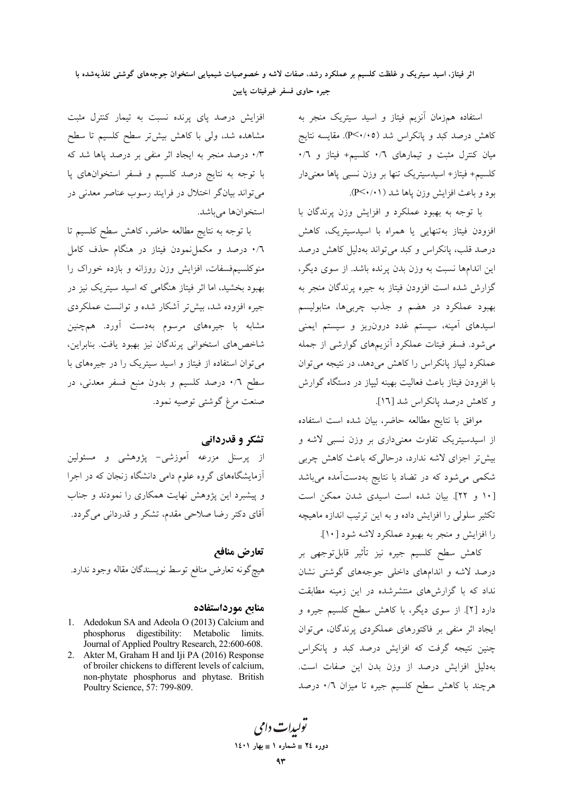اثر فيتاز، اسيد سيتريک و غلظت کلسيم بر عملکرد رشد، صفات لاشه و خصوصيات شيميايي استخوان جوجههاي گوشتي تغذيهشده با جيره حاوى فسفر غيرفيتات يايين

> استفاده همزمان آنزيم فيتاز و اسيد سيتريك منجر به کاهش درصد کبد و پانکراس شد (P<۰/۰۵). مقایسه نتایج میان کنترل مثبت و تیمارهای ۰/٦ کلسیم+ فیتاز و ۰/٦ كلسيم+ فيتاز+ اسيدسيتريك تنها بر وزن نسبى ياها معنىدار بود و باعث افزایش وزن پاها شد ( ۱۰/۰).

> با توجه به بهبود عملکرد و افزایش وزن پرندگان با افزودن فیتاز بهتنهایی یا همراه با اسیدسیتریک، کاهش درصد قلب، پانکراس و کبد می تواند بهدلیل کاهش درصد این اندامها نسبت به وزن بدن پرنده باشد. از سوی دیگر، گزارش شده است افزودن فیتاز به جیره پرندگان منجر به بهبود عملکرد در هضم و جذب چربیها، متابولیسم اسیدهای آمینه، سیستم غدد درون٫یز و سیستم ایمنی می شود. فسفر فیتات عملکرد آنزیمهای گوارشی از جمله عملکرد لیپاز پانکراس را کاهش میدهد، در نتیجه میتوان با افزودن فيتاز باعث فعاليت بهينه ليپاز در دستگاه گوارش و كاهش درصد پانكراس شد [١٦].

> موافق با نتايج مطالعه حاضر، بيان شده است استفاده از اسیدسیتریک تفاوت معنیداری بر وزن نسبی لاشه و بیشتر اجزای لاشه ندارد، درحالی که باعث کاهش چربی شکمی میشود که در تضاد با نتایج بهدستآمده میباشد [١٠ و ٢٢]. بيان شده است اسيدي شدن ممكن است تکثیر سلولی را افزایش داده و به این ترتیب اندازه ماهیچه را افزایش و منجر به بهبود عملکرد لاشه شود [۱۰].

> كاهش سطح كلسيم جيره نيز تأثير قابلتوجهي بر درصد لاشه و اندامهای داخلی جوجههای گوشتی نشان نداد که با گزارشهای منتشرشده در این زمینه مطابقت دارد [۲]. از سوی دیگر، با کاهش سطح کلسیم جیره و ایجاد اثر منفی بر فاکتورهای عملکردی پرندگان، میتوان چنین نتیجه گرفت که افزایش درصد کبد و پانکراس بهدليل افزايش درصد از وزن بدن اين صفات است. هرچند با کاهش سطح کلسیم جیره تا میزان ۰/٦ درصد

افزایش درصد یای پرنده نسبت به تیمار کنترل مثبت مشاهده شد، ولي با كاهش بيشتر سطح كلسيم تا سطح ۰/۳ درصد منجر به ایجاد اثر منفی بر درصد پاها شد که با توجه به نتایج درصد کلسیم و فسفر استخوانهای پا می تواند بیانگر اختلال در فرایند رسوب عناصر معدنی در استخوانها می باشد.

با توجه به نتايج مطالعه حاضر، كاهش سطح كلسيم تا ۰/٦ درصد و مکملنمودن فیتاز در هنگام حذف کامل منوکلسیمفسفات، افزایش وزن روزانه و بازده خوراک را بهبود بخشید، اما اثر فیتاز هنگامی که اسید سیتریک نیز در جیره افزوده شد، بیش تر آشکار شده و توانست عملکردی مشابه با جیرههای مرسوم بهدست آورد. همچنین شاخصهای استخوانی پرندگان نیز بهبود یافت. بنابراین، می توان استفاده از فیتاز و اسید سیتریک را در جیرههای با سطح ٠/٦ درصد کلسیم و بدون منبع فسفر معدنی، در صنعت مرغ گوشتی توصیه نمود.

## تشکر و قدردانے

از پرسنل مزرعه آموزشی- پژوهشی و مسئولین آزمایشگاههای گروه علوم دامی دانشگاه زنجان که در اجرا و پیشبرد این پژوهش نهایت همکاری را نمودند و جناب آقای دکتر رضا صلاحی مقدم، تشکر و قدردانی میگردد.

تعارض منافع هيچگونه تعارض منافع توسط نويسندگان مقاله وجود ندارد.

#### منابع مورداستفاده

- 1. Adedokun SA and Adeola O (2013) Calcium and phosphorus digestibility: Metabolic limits. Journal of Applied Poultry Research, 22:600-608.
- 2. Akter M, Graham H and Iji PA (2016) Response of broiler chickens to different levels of calcium, non-phytate phosphorus and phytase. British Poultry Science, 57: 799-809.

يولېدا**ت** دامې دوره ٢٤ = شماره ١ = بهار ١٤٠١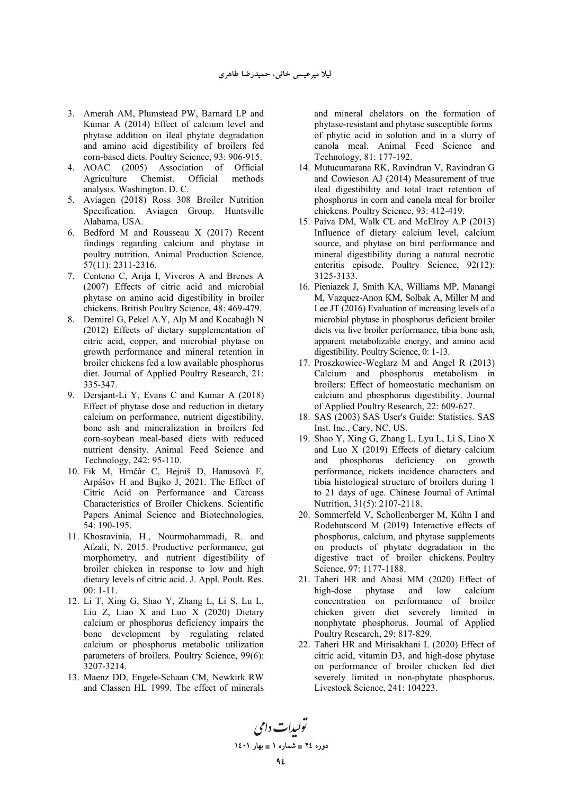- 3. Amerah AM, Plumstead PW, Barnard LP and Kumar A (2014) Effect of calcium level and phytase addition on ileal phytate degradation and amino acid digestibility of broilers fed corn-based diets. Poultry Science, 93: 906-915.
- 4. AOAC (2005) Association of Official Agriculture Chemist. Official methods analysis. Washington. D. C.
- 5. Aviagen (2018) Ross 308 Broiler Nutrition Specification. Aviagen Group. Huntsville Alabama, USA.
- 6. Bedford M and Rousseau X (2017) Recent findings regarding calcium and phytase in poultry nutrition. Animal Production Science, 57(11): 2311-2316.
- 7. Centeno C, Arija I, Viveros A and Brenes A (2007) Effects of citric acid and microbial phytase on amino acid digestibility in broiler chickens. British Poultry Science, 48: 469-479.
- 8. Demirel G, Pekel A.Y, Alp M and Kocabağlı N (2012) Effects of dietary supplementation of citric acid, copper, and microbial phytase on growth performance and mineral retention in broiler chickens fed a low available phosphorus diet. Journal of Applied Poultry Research, 21: 335-347.
- 9. Dersjant-Li Y, Evans C and Kumar A (2018) Effect of phytase dose and reduction in dietary calcium on performance, nutrient digestibility, bone ash and mineralization in broilers fed corn-soybean meal-based diets with reduced nutrient density. Animal Feed Science and Technology, 242: 95-110.
- 10. Fik M, Hrnčár C, Hejniš D, Hanusová E, Arpášov H and Bujko J, 2021. The Effect of Citric Acid on Performance and Carcass Characteristics of Broiler Chickens. Scientific Papers Animal Science and Biotechnologies, 54: 190-195.
- 11. Khosravinia, H., Nourmohammadi, R. and Afzali, N. 2015. Productive performance, gut morphometry, and nutrient digestibility of broiler chicken in response to low and high dietary levels of citric acid. J. Appl. Poult. Res. 00: 1-11.
- 12. Li T, Xing G, Shao Y, Zhang L, Li S, Lu L, Liu Z, Liao X and Luo X (2020) Dietary calcium or phosphorus deficiency impairs the bone development by regulating related calcium or phosphorus metabolic utilization parameters of broilers. Poultry Science, 99(6): 3207-3214.
- 13. Maenz DD, Engele-Schaan CM, Newkirk RW and Classen HL 1999. The effect of minerals

and mineral chelators on the formation of phytase-resistant and phytase susceptible forms of phytic acid in solution and in a slurry of canola meal. Animal Feed Science and Technology, 81: 177-192.

- 14. Mutucumarana RK, Ravindran V, Ravindran G and Cowieson AJ (2014) Measurement of true ileal digestibility and total tract retention of phosphorus in corn and canola meal for broiler chickens. Poultry Science, 93: 412-419.
- 15. Paiva DM, Walk CL and McElroy A.P (2013) Influence of dietary calcium level, calcium source, and phytase on bird performance and mineral digestibility during a natural necrotic enteritis episode. Poultry Science, 92(12): 3125-3133.
- 16. Pieniazek J, Smith KA, Williams MP, Manangi M, Vazquez-Anon KM, Solbak A, Miller M and Lee JT (2016) Evaluation of increasing levels of a microbial phytase in phosphorus deficient broiler diets via live broiler performance, tibia bone ash, apparent metabolizable energy, and amino acid digestibility. Poultry Science, 0: 1-13.
- 17. Proszkowiec-Weglarz M and Angel R (2013) Calcium and phosphorus metabolism in broilers: Effect of homeostatic mechanism on calcium and phosphorus digestibility. Journal of Applied Poultry Research, 22: 609-627.
- 18. SAS (2003) SAS User's Guide: Statistics. SAS Inst. Inc., Cary, NC, US.
- 19. Shao Y, Xing G, Zhang L, Lyu L, Li S, Liao X and Luo X (2019) Effects of dietary calcium and phosphorus deficiency on growth performance, rickets incidence characters and tibia histological structure of broilers during 1 to 21 days of age. Chinese Journal of Animal Nutrition, 31(5): 2107-2118.
- 20. Sommerfeld V, Schollenberger M, Kühn I and Rodehutscord M (2019) Interactive effects of phosphorus, calcium, and phytase supplements on products of phytate degradation in the digestive tract of broiler chickens. Poultry Science, 97: 1177-1188.
- 21. Taheri HR and Abasi MM (2020) Effect of high-dose phytase and low calcium concentration on performance of broiler chicken given diet severely limited in nonphytate phosphorus. Journal of Applied Poultry Research, 29: 817-829.
- 22. Taheri HR and Mirisakhani L (2020) Effect of citric acid, vitamin D3, and high-dose phytase on performance of broiler chicken fed diet severely limited in non-phytate phosphorus. Livestock Science, 241: 104223.